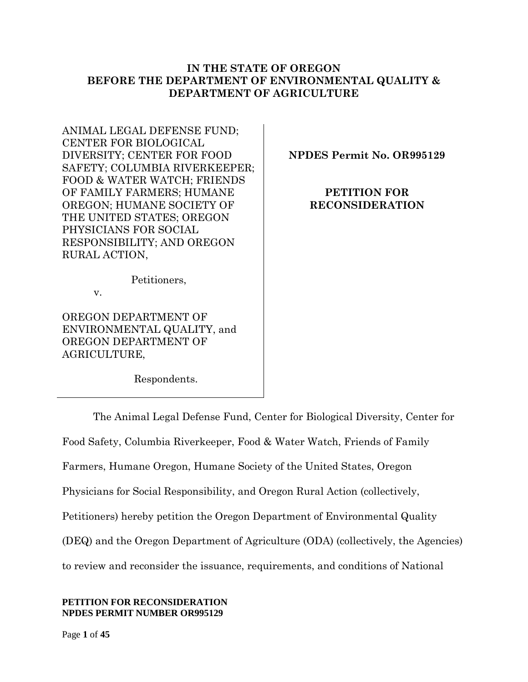### **IN THE STATE OF OREGON BEFORE THE DEPARTMENT OF ENVIRONMENTAL QUALITY & DEPARTMENT OF AGRICULTURE**

ANIMAL LEGAL DEFENSE FUND; CENTER FOR BIOLOGICAL DIVERSITY; CENTER FOR FOOD SAFETY; COLUMBIA RIVERKEEPER; FOOD & WATER WATCH; FRIENDS OF FAMILY FARMERS; HUMANE OREGON; HUMANE SOCIETY OF THE UNITED STATES; OREGON PHYSICIANS FOR SOCIAL RESPONSIBILITY; AND OREGON RURAL ACTION,

**NPDES Permit No. OR995129**

**PETITION FOR RECONSIDERATION**

Petitioners,

v.

OREGON DEPARTMENT OF ENVIRONMENTAL QUALITY, and OREGON DEPARTMENT OF AGRICULTURE,

Respondents.

The Animal Legal Defense Fund, Center for Biological Diversity, Center for Food Safety, Columbia Riverkeeper, Food & Water Watch, Friends of Family Farmers, Humane Oregon, Humane Society of the United States, Oregon Physicians for Social Responsibility, and Oregon Rural Action (collectively, Petitioners) hereby petition the Oregon Department of Environmental Quality (DEQ) and the Oregon Department of Agriculture (ODA) (collectively, the Agencies) to review and reconsider the issuance, requirements, and conditions of National

### **PETITION FOR RECONSIDERATION NPDES PERMIT NUMBER OR995129**

Page **1** of **45**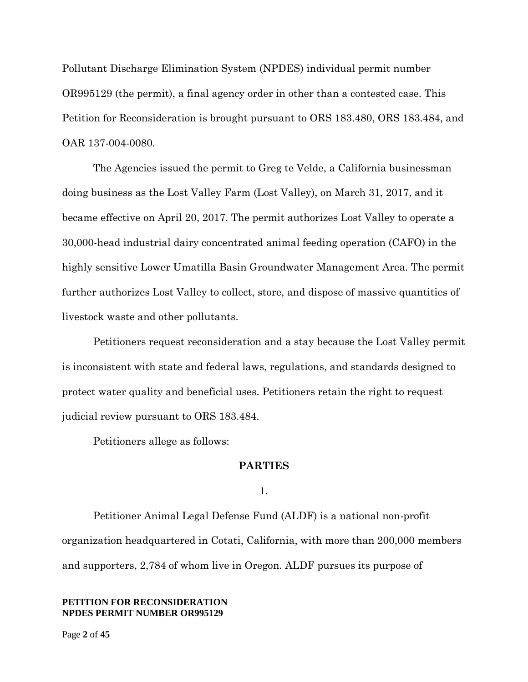Pollutant Discharge Elimination System (NPDES) individual permit number OR995129 (the permit), a final agency order in other than a contested case. This Petition for Reconsideration is brought pursuant to ORS 183.480, ORS 183.484, and OAR 137-004-0080.

The Agencies issued the permit to Greg te Velde, a California businessman doing business as the Lost Valley Farm (Lost Valley), on March 31, 2017, and it became effective on April 20, 2017. The permit authorizes Lost Valley to operate a 30,000-head industrial dairy concentrated animal feeding operation (CAFO) in the highly sensitive Lower Umatilla Basin Groundwater Management Area. The permit further authorizes Lost Valley to collect, store, and dispose of massive quantities of livestock waste and other pollutants.

Petitioners request reconsideration and a stay because the Lost Valley permit is inconsistent with state and federal laws, regulations, and standards designed to protect water quality and beneficial uses. Petitioners retain the right to request judicial review pursuant to ORS 183.484.

Petitioners allege as follows:

### **PARTIES**

1.

Petitioner Animal Legal Defense Fund (ALDF) is a national non-profit organization headquartered in Cotati, California, with more than 200,000 members and supporters, 2,784 of whom live in Oregon. ALDF pursues its purpose of

### **PETITION FOR RECONSIDERATION NPDES PERMIT NUMBER OR995129**

Page **2** of **45**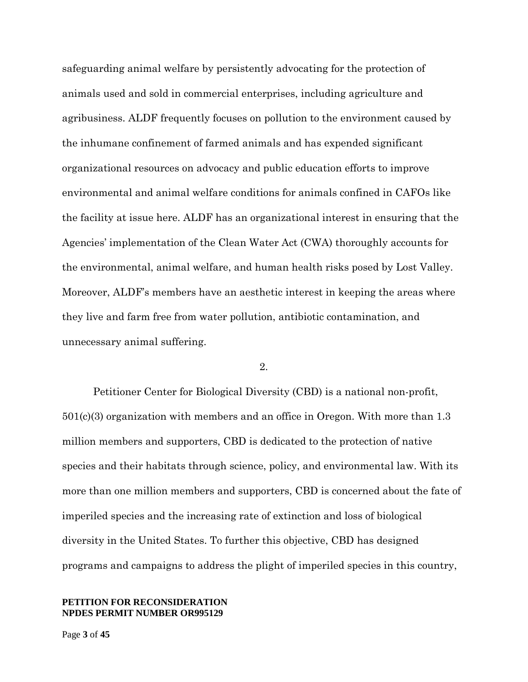safeguarding animal welfare by persistently advocating for the protection of animals used and sold in commercial enterprises, including agriculture and agribusiness. ALDF frequently focuses on pollution to the environment caused by the inhumane confinement of farmed animals and has expended significant organizational resources on advocacy and public education efforts to improve environmental and animal welfare conditions for animals confined in CAFOs like the facility at issue here. ALDF has an organizational interest in ensuring that the Agencies' implementation of the Clean Water Act (CWA) thoroughly accounts for the environmental, animal welfare, and human health risks posed by Lost Valley. Moreover, ALDF's members have an aesthetic interest in keeping the areas where they live and farm free from water pollution, antibiotic contamination, and unnecessary animal suffering.

2.

Petitioner Center for Biological Diversity (CBD) is a national non-profit, 501(c)(3) organization with members and an office in Oregon. With more than 1.3 million members and supporters, CBD is dedicated to the protection of native species and their habitats through science, policy, and environmental law. With its more than one million members and supporters, CBD is concerned about the fate of imperiled species and the increasing rate of extinction and loss of biological diversity in the United States. To further this objective, CBD has designed programs and campaigns to address the plight of imperiled species in this country,

### **PETITION FOR RECONSIDERATION NPDES PERMIT NUMBER OR995129**

Page **3** of **45**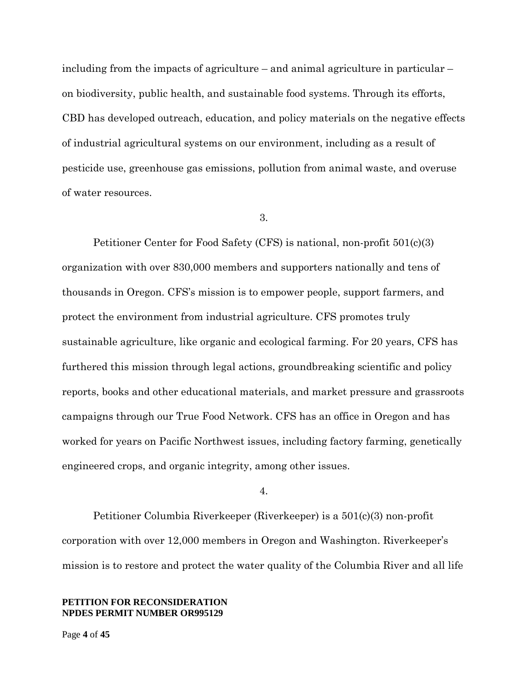including from the impacts of agriculture – and animal agriculture in particular – on biodiversity, public health, and sustainable food systems. Through its efforts, CBD has developed outreach, education, and policy materials on the negative effects of industrial agricultural systems on our environment, including as a result of pesticide use, greenhouse gas emissions, pollution from animal waste, and overuse of water resources.

### 3.

Petitioner Center for Food Safety (CFS) is national, non-profit 501(c)(3) organization with over 830,000 members and supporters nationally and tens of thousands in Oregon. CFS's mission is to empower people, support farmers, and protect the environment from industrial agriculture. CFS promotes truly sustainable agriculture, like organic and ecological farming. For 20 years, CFS has furthered this mission through legal actions, groundbreaking scientific and policy reports, books and other educational materials, and market pressure and grassroots campaigns through our True Food Network. CFS has an office in Oregon and has worked for years on Pacific Northwest issues, including factory farming, genetically engineered crops, and organic integrity, among other issues.

### 4.

Petitioner Columbia Riverkeeper (Riverkeeper) is a 501(c)(3) non-profit corporation with over 12,000 members in Oregon and Washington. Riverkeeper's mission is to restore and protect the water quality of the Columbia River and all life

#### **PETITION FOR RECONSIDERATION NPDES PERMIT NUMBER OR995129**

Page **4** of **45**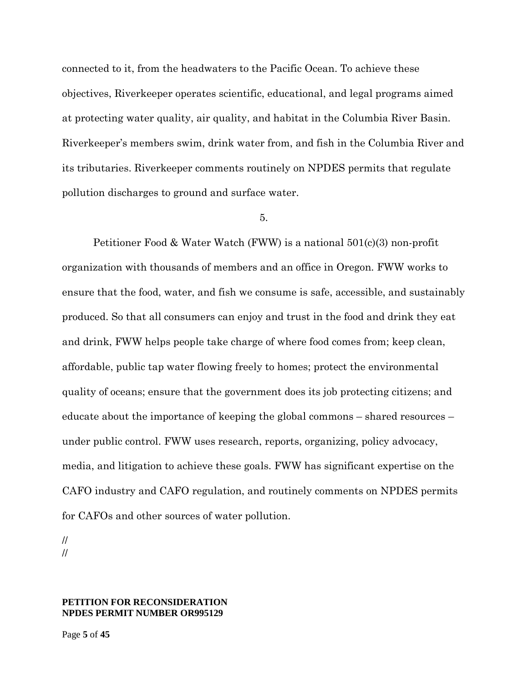connected to it, from the headwaters to the Pacific Ocean. To achieve these objectives, Riverkeeper operates scientific, educational, and legal programs aimed at protecting water quality, air quality, and habitat in the Columbia River Basin. Riverkeeper's members swim, drink water from, and fish in the Columbia River and its tributaries. Riverkeeper comments routinely on NPDES permits that regulate pollution discharges to ground and surface water.

### 5.

Petitioner Food & Water Watch (FWW) is a national 501(c)(3) non-profit organization with thousands of members and an office in Oregon. FWW works to ensure that the food, water, and fish we consume is safe, accessible, and sustainably produced. So that all consumers can enjoy and trust in the food and drink they eat and drink, FWW helps people take charge of where food comes from; keep clean, affordable, public tap water flowing freely to homes; protect the environmental quality of oceans; ensure that the government does its job protecting citizens; and educate about the importance of keeping the global commons – shared resources – under public control. FWW uses research, reports, organizing, policy advocacy, media, and litigation to achieve these goals. FWW has significant expertise on the CAFO industry and CAFO regulation, and routinely comments on NPDES permits for CAFOs and other sources of water pollution.

// //

#### **PETITION FOR RECONSIDERATION NPDES PERMIT NUMBER OR995129**

Page **5** of **45**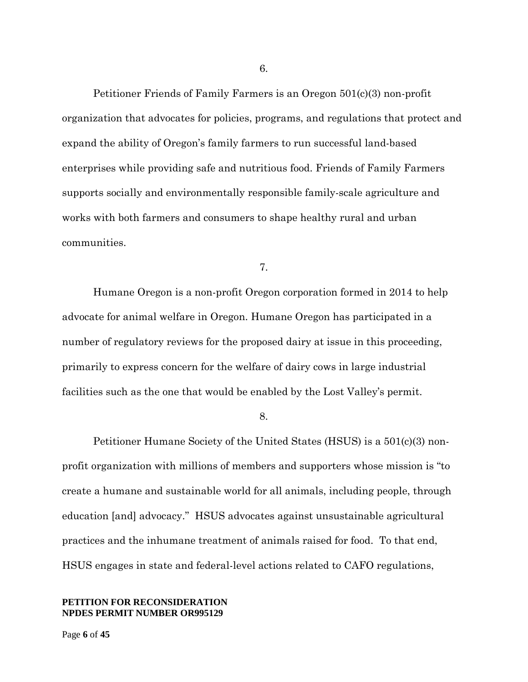Petitioner Friends of Family Farmers is an Oregon 501(c)(3) non-profit organization that advocates for policies, programs, and regulations that protect and expand the ability of Oregon's family farmers to run successful land-based enterprises while providing safe and nutritious food. Friends of Family Farmers supports socially and environmentally responsible family-scale agriculture and works with both farmers and consumers to shape healthy rural and urban communities.

7.

Humane Oregon is a non-profit Oregon corporation formed in 2014 to help advocate for animal welfare in Oregon. Humane Oregon has participated in a number of regulatory reviews for the proposed dairy at issue in this proceeding, primarily to express concern for the welfare of dairy cows in large industrial facilities such as the one that would be enabled by the Lost Valley's permit.

8.

Petitioner Humane Society of the United States (HSUS) is a 501(c)(3) nonprofit organization with millions of members and supporters whose mission is "to create a humane and sustainable world for all animals, including people, through education [and] advocacy." HSUS advocates against unsustainable agricultural practices and the inhumane treatment of animals raised for food. To that end, HSUS engages in state and federal-level actions related to CAFO regulations,

#### **PETITION FOR RECONSIDERATION NPDES PERMIT NUMBER OR995129**

6.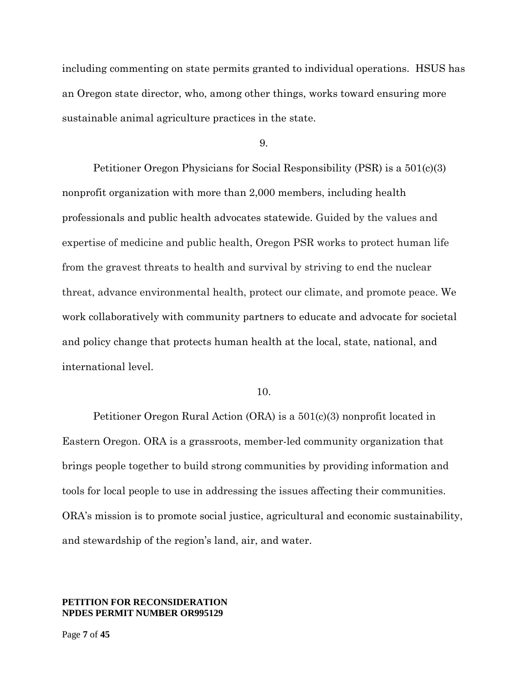including commenting on state permits granted to individual operations. HSUS has an Oregon state director, who, among other things, works toward ensuring more sustainable animal agriculture practices in the state.

9.

Petitioner Oregon Physicians for Social Responsibility (PSR) is a 501(c)(3) nonprofit organization with more than 2,000 members, including health professionals and public health advocates statewide. Guided by the values and expertise of medicine and public health, Oregon PSR works to protect human life from the gravest threats to health and survival by striving to end the nuclear threat, advance environmental health, protect our climate, and promote peace. We work collaboratively with community partners to educate and advocate for societal and policy change that protects human health at the local, state, national, and international level.

#### 10.

Petitioner Oregon Rural Action (ORA) is a 501(c)(3) nonprofit located in Eastern Oregon. ORA is a grassroots, member-led community organization that brings people together to build strong communities by providing information and tools for local people to use in addressing the issues affecting their communities. ORA's mission is to promote social justice, agricultural and economic sustainability, and stewardship of the region's land, air, and water.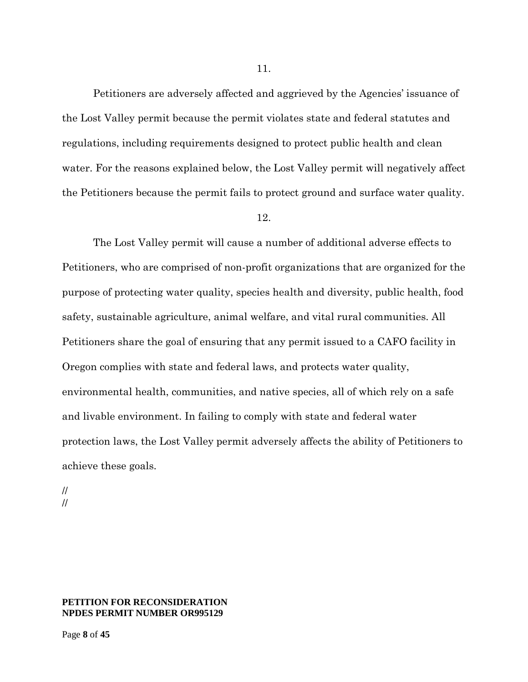Petitioners are adversely affected and aggrieved by the Agencies' issuance of the Lost Valley permit because the permit violates state and federal statutes and regulations, including requirements designed to protect public health and clean water. For the reasons explained below, the Lost Valley permit will negatively affect the Petitioners because the permit fails to protect ground and surface water quality.

### 12.

The Lost Valley permit will cause a number of additional adverse effects to Petitioners, who are comprised of non-profit organizations that are organized for the purpose of protecting water quality, species health and diversity, public health, food safety, sustainable agriculture, animal welfare, and vital rural communities. All Petitioners share the goal of ensuring that any permit issued to a CAFO facility in Oregon complies with state and federal laws, and protects water quality, environmental health, communities, and native species, all of which rely on a safe and livable environment. In failing to comply with state and federal water protection laws, the Lost Valley permit adversely affects the ability of Petitioners to achieve these goals.

// //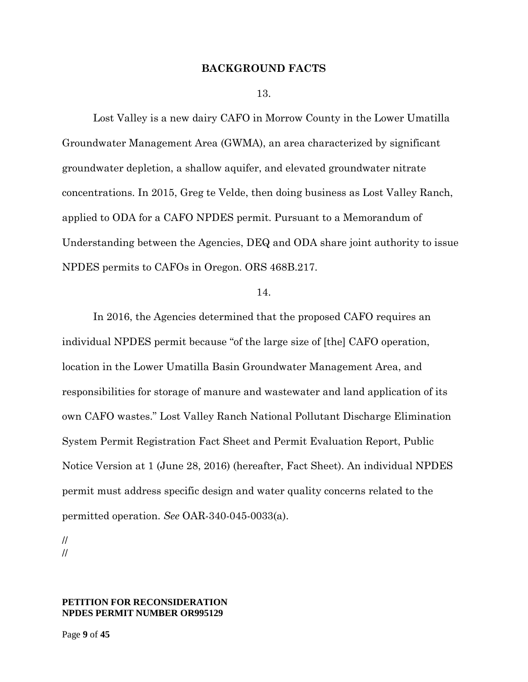### **BACKGROUND FACTS**

13.

Lost Valley is a new dairy CAFO in Morrow County in the Lower Umatilla Groundwater Management Area (GWMA), an area characterized by significant groundwater depletion, a shallow aquifer, and elevated groundwater nitrate concentrations. In 2015, Greg te Velde, then doing business as Lost Valley Ranch, applied to ODA for a CAFO NPDES permit. Pursuant to a Memorandum of Understanding between the Agencies, DEQ and ODA share joint authority to issue NPDES permits to CAFOs in Oregon. ORS 468B.217.

#### 14.

In 2016, the Agencies determined that the proposed CAFO requires an individual NPDES permit because "of the large size of [the] CAFO operation, location in the Lower Umatilla Basin Groundwater Management Area, and responsibilities for storage of manure and wastewater and land application of its own CAFO wastes." Lost Valley Ranch National Pollutant Discharge Elimination System Permit Registration Fact Sheet and Permit Evaluation Report, Public Notice Version at 1 (June 28, 2016) (hereafter, Fact Sheet). An individual NPDES permit must address specific design and water quality concerns related to the permitted operation. *See* OAR-340-045-0033(a).

// //

### **PETITION FOR RECONSIDERATION NPDES PERMIT NUMBER OR995129**

Page **9** of **45**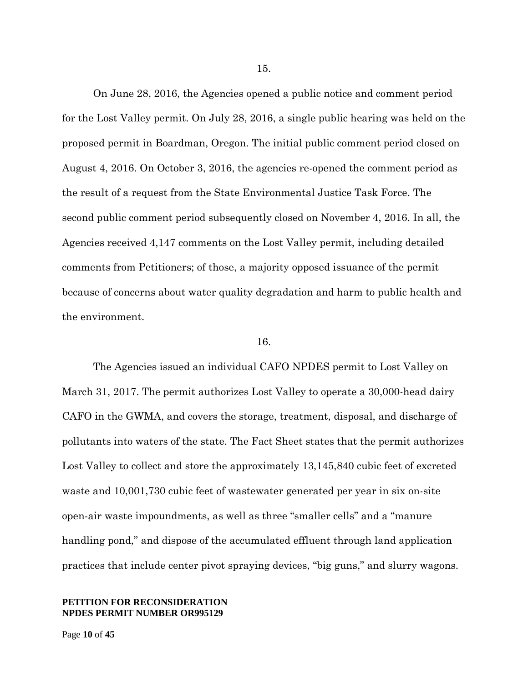On June 28, 2016, the Agencies opened a public notice and comment period for the Lost Valley permit. On July 28, 2016, a single public hearing was held on the proposed permit in Boardman, Oregon. The initial public comment period closed on August 4, 2016. On October 3, 2016, the agencies re-opened the comment period as the result of a request from the State Environmental Justice Task Force. The second public comment period subsequently closed on November 4, 2016. In all, the Agencies received 4,147 comments on the Lost Valley permit, including detailed comments from Petitioners; of those, a majority opposed issuance of the permit because of concerns about water quality degradation and harm to public health and the environment.

#### 16.

The Agencies issued an individual CAFO NPDES permit to Lost Valley on March 31, 2017. The permit authorizes Lost Valley to operate a 30,000-head dairy CAFO in the GWMA, and covers the storage, treatment, disposal, and discharge of pollutants into waters of the state. The Fact Sheet states that the permit authorizes Lost Valley to collect and store the approximately 13,145,840 cubic feet of excreted waste and 10,001,730 cubic feet of wastewater generated per year in six on-site open-air waste impoundments, as well as three "smaller cells" and a "manure handling pond," and dispose of the accumulated effluent through land application practices that include center pivot spraying devices, "big guns," and slurry wagons.

### **PETITION FOR RECONSIDERATION NPDES PERMIT NUMBER OR995129**

Page **10** of **45**

15.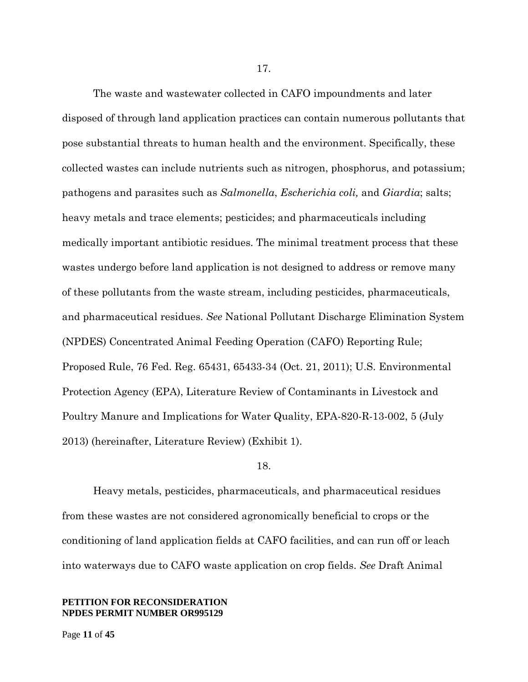The waste and wastewater collected in CAFO impoundments and later disposed of through land application practices can contain numerous pollutants that pose substantial threats to human health and the environment. Specifically, these collected wastes can include nutrients such as nitrogen, phosphorus, and potassium; pathogens and parasites such as *Salmonella*, *Escherichia coli,* and *Giardia*; salts; heavy metals and trace elements; pesticides; and pharmaceuticals including medically important antibiotic residues. The minimal treatment process that these wastes undergo before land application is not designed to address or remove many of these pollutants from the waste stream, including pesticides, pharmaceuticals, and pharmaceutical residues. *See* National Pollutant Discharge Elimination System (NPDES) Concentrated Animal Feeding Operation (CAFO) Reporting Rule; Proposed Rule, 76 Fed. Reg. 65431, 65433-34 (Oct. 21, 2011); U.S. Environmental Protection Agency (EPA), Literature Review of Contaminants in Livestock and Poultry Manure and Implications for Water Quality, EPA-820-R-13-002, 5 (July 2013) (hereinafter, Literature Review) (Exhibit 1).

### 18.

Heavy metals, pesticides, pharmaceuticals, and pharmaceutical residues from these wastes are not considered agronomically beneficial to crops or the conditioning of land application fields at CAFO facilities, and can run off or leach into waterways due to CAFO waste application on crop fields. *See* Draft Animal

### **PETITION FOR RECONSIDERATION NPDES PERMIT NUMBER OR995129**

Page **11** of **45**

17.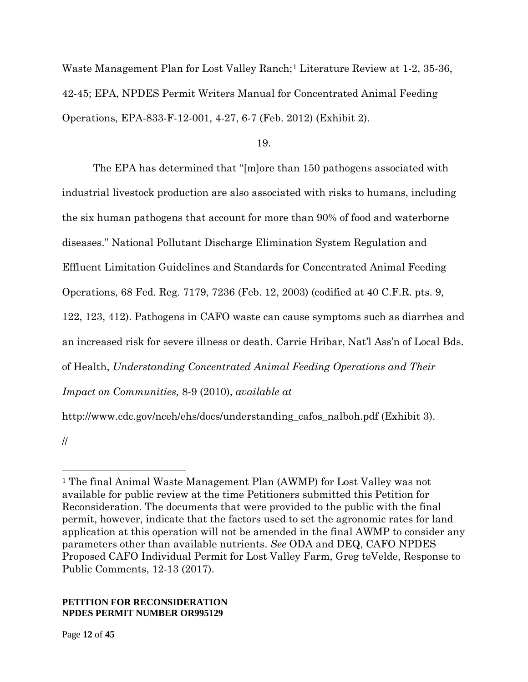Waste Management Plan for Lost Valley Ranch;[1](#page-11-0) Literature Review at 1-2, 35-36, 42-45; EPA, NPDES Permit Writers Manual for Concentrated Animal Feeding Operations, EPA-833-F-12-001, 4-27, 6-7 (Feb. 2012) (Exhibit 2).

19.

The EPA has determined that "[m]ore than 150 pathogens associated with industrial livestock production are also associated with risks to humans, including the six human pathogens that account for more than 90% of food and waterborne diseases." National Pollutant Discharge Elimination System Regulation and Effluent Limitation Guidelines and Standards for Concentrated Animal Feeding Operations, 68 Fed. Reg. 7179, 7236 (Feb. 12, 2003) (codified at 40 C.F.R. pts. 9, 122, 123, 412). Pathogens in CAFO waste can cause symptoms such as diarrhea and an increased risk for severe illness or death. Carrie Hribar, Nat'l Ass'n of Local Bds. of Health, *Understanding Concentrated Animal Feeding Operations and Their Impact on Communities,* 8-9 (2010), *available at*  http://www.cdc.gov/nceh/ehs/docs/understanding\_cafos\_nalboh.pdf (Exhibit 3).

//

 $\overline{a}$ 

<span id="page-11-0"></span><sup>1</sup> The final Animal Waste Management Plan (AWMP) for Lost Valley was not available for public review at the time Petitioners submitted this Petition for Reconsideration. The documents that were provided to the public with the final permit, however, indicate that the factors used to set the agronomic rates for land application at this operation will not be amended in the final AWMP to consider any parameters other than available nutrients. *See* ODA and DEQ, CAFO NPDES Proposed CAFO Individual Permit for Lost Valley Farm, Greg teVelde, Response to Public Comments, 12-13 (2017).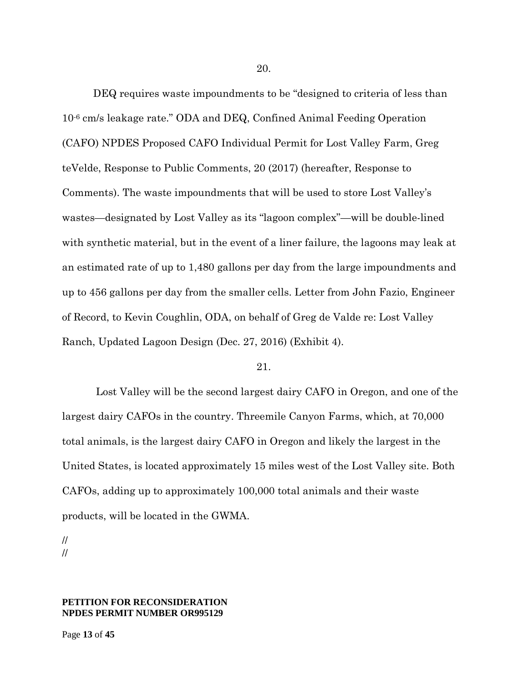DEQ requires waste impoundments to be "designed to criteria of less than 10-6 cm/s leakage rate." ODA and DEQ, Confined Animal Feeding Operation (CAFO) NPDES Proposed CAFO Individual Permit for Lost Valley Farm, Greg teVelde, Response to Public Comments, 20 (2017) (hereafter, Response to Comments). The waste impoundments that will be used to store Lost Valley's wastes—designated by Lost Valley as its "lagoon complex"—will be double-lined with synthetic material, but in the event of a liner failure, the lagoons may leak at an estimated rate of up to 1,480 gallons per day from the large impoundments and up to 456 gallons per day from the smaller cells. Letter from John Fazio, Engineer of Record, to Kevin Coughlin, ODA, on behalf of Greg de Valde re: Lost Valley Ranch, Updated Lagoon Design (Dec. 27, 2016) (Exhibit 4).

### 21.

Lost Valley will be the second largest dairy CAFO in Oregon, and one of the largest dairy CAFOs in the country. Threemile Canyon Farms, which, at 70,000 total animals, is the largest dairy CAFO in Oregon and likely the largest in the United States, is located approximately 15 miles west of the Lost Valley site. Both CAFOs, adding up to approximately 100,000 total animals and their waste products, will be located in the GWMA.

// //

### **PETITION FOR RECONSIDERATION NPDES PERMIT NUMBER OR995129**

Page **13** of **45**

20.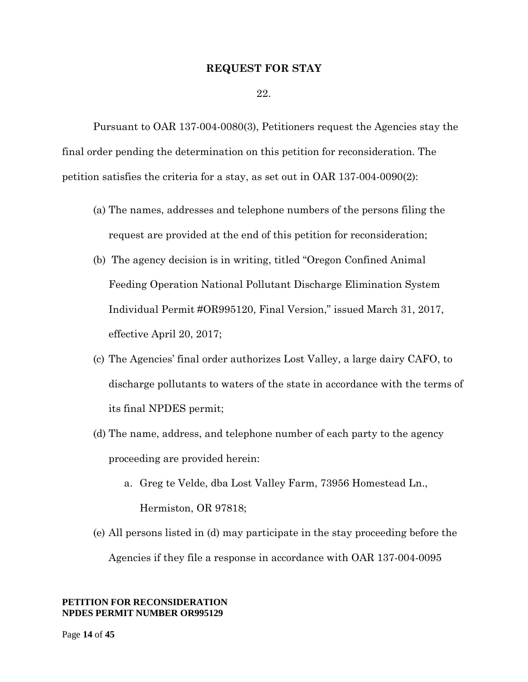### **REQUEST FOR STAY**

22.

Pursuant to OAR 137-004-0080(3), Petitioners request the Agencies stay the final order pending the determination on this petition for reconsideration. The petition satisfies the criteria for a stay, as set out in OAR 137-004-0090(2):

- (a) The names, addresses and telephone numbers of the persons filing the request are provided at the end of this petition for reconsideration;
- (b) The agency decision is in writing, titled "Oregon Confined Animal Feeding Operation National Pollutant Discharge Elimination System Individual Permit #OR995120, Final Version," issued March 31, 2017, effective April 20, 2017;
- (c) The Agencies' final order authorizes Lost Valley, a large dairy CAFO, to discharge pollutants to waters of the state in accordance with the terms of its final NPDES permit;
- (d) The name, address, and telephone number of each party to the agency proceeding are provided herein:
	- a. Greg te Velde, dba Lost Valley Farm, 73956 Homestead Ln., Hermiston, OR 97818;
- (e) All persons listed in (d) may participate in the stay proceeding before the Agencies if they file a response in accordance with OAR 137-004-0095

### **PETITION FOR RECONSIDERATION NPDES PERMIT NUMBER OR995129**

Page **14** of **45**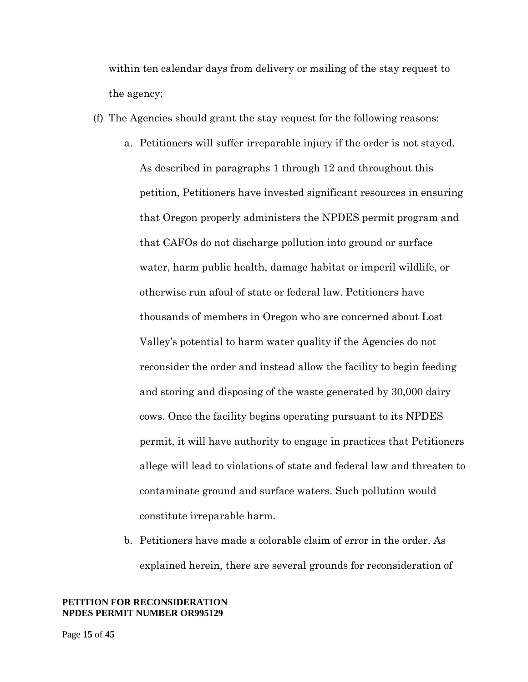within ten calendar days from delivery or mailing of the stay request to the agency;

- (f) The Agencies should grant the stay request for the following reasons:
	- a. Petitioners will suffer irreparable injury if the order is not stayed. As described in paragraphs 1 through 12 and throughout this petition, Petitioners have invested significant resources in ensuring that Oregon properly administers the NPDES permit program and that CAFOs do not discharge pollution into ground or surface water, harm public health, damage habitat or imperil wildlife, or otherwise run afoul of state or federal law. Petitioners have thousands of members in Oregon who are concerned about Lost Valley's potential to harm water quality if the Agencies do not reconsider the order and instead allow the facility to begin feeding and storing and disposing of the waste generated by 30,000 dairy cows. Once the facility begins operating pursuant to its NPDES permit, it will have authority to engage in practices that Petitioners allege will lead to violations of state and federal law and threaten to contaminate ground and surface waters. Such pollution would constitute irreparable harm.
	- b. Petitioners have made a colorable claim of error in the order. As explained herein, there are several grounds for reconsideration of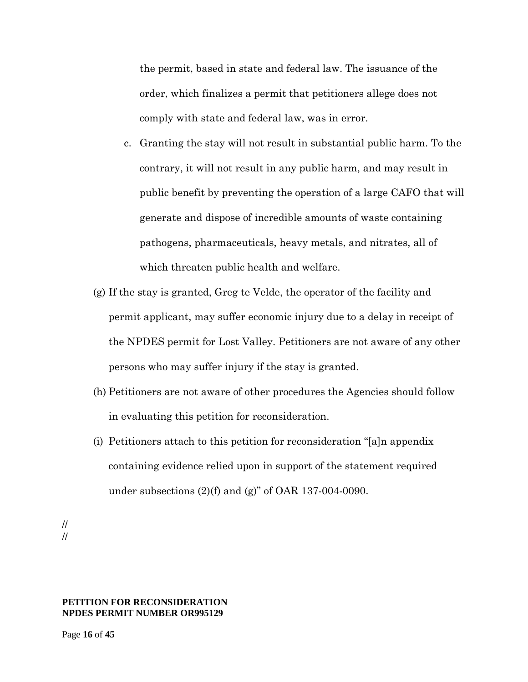the permit, based in state and federal law. The issuance of the order, which finalizes a permit that petitioners allege does not comply with state and federal law, was in error.

- c. Granting the stay will not result in substantial public harm. To the contrary, it will not result in any public harm, and may result in public benefit by preventing the operation of a large CAFO that will generate and dispose of incredible amounts of waste containing pathogens, pharmaceuticals, heavy metals, and nitrates, all of which threaten public health and welfare.
- (g) If the stay is granted, Greg te Velde, the operator of the facility and permit applicant, may suffer economic injury due to a delay in receipt of the NPDES permit for Lost Valley. Petitioners are not aware of any other persons who may suffer injury if the stay is granted.
- (h) Petitioners are not aware of other procedures the Agencies should follow in evaluating this petition for reconsideration.
- (i) Petitioners attach to this petition for reconsideration "[a]n appendix containing evidence relied upon in support of the statement required under subsections  $(2)(f)$  and  $(g)$ " of OAR 137-004-0090.

// //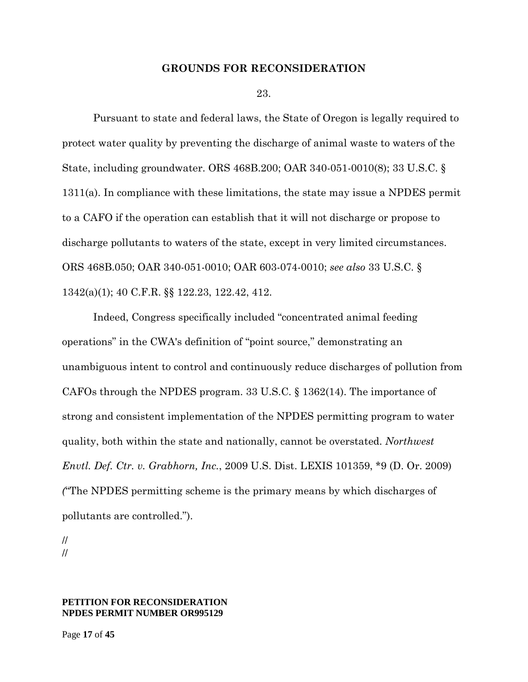### **GROUNDS FOR RECONSIDERATION**

23.

Pursuant to state and federal laws, the State of Oregon is legally required to protect water quality by preventing the discharge of animal waste to waters of the State, including groundwater. ORS 468B.200; OAR 340-051-0010(8); 33 U.S.C. § 1311(a). In compliance with these limitations, the state may issue a NPDES permit to a CAFO if the operation can establish that it will not discharge or propose to discharge pollutants to waters of the state, except in very limited circumstances. ORS 468B.050; OAR 340-051-0010; OAR 603-074-0010; *see also* 33 U.S.C. § 1342(a)(1); 40 C.F.R. §§ 122.23, 122.42, 412.

Indeed, Congress specifically included "concentrated animal feeding operations" in the CWA's definition of "point source," demonstrating an unambiguous intent to control and continuously reduce discharges of pollution from CAFOs through the NPDES program. 33 U.S.C. § 1362(14). The importance of strong and consistent implementation of the NPDES permitting program to water quality, both within the state and nationally, cannot be overstated. *Northwest Envtl. Def. Ctr. v. Grabhorn, Inc.*, 2009 U.S. Dist. LEXIS 101359, \*9 (D. Or. 2009) *(*"The NPDES permitting scheme is the primary means by which discharges of pollutants are controlled.").

// //

### **PETITION FOR RECONSIDERATION NPDES PERMIT NUMBER OR995129**

Page **17** of **45**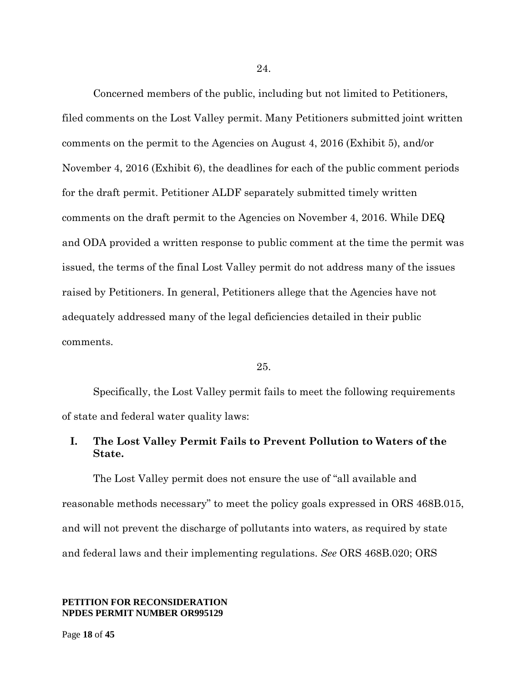Concerned members of the public, including but not limited to Petitioners,

24.

filed comments on the Lost Valley permit. Many Petitioners submitted joint written comments on the permit to the Agencies on August 4, 2016 (Exhibit 5), and/or November 4, 2016 (Exhibit 6), the deadlines for each of the public comment periods for the draft permit. Petitioner ALDF separately submitted timely written comments on the draft permit to the Agencies on November 4, 2016. While DEQ and ODA provided a written response to public comment at the time the permit was issued, the terms of the final Lost Valley permit do not address many of the issues raised by Petitioners. In general, Petitioners allege that the Agencies have not adequately addressed many of the legal deficiencies detailed in their public comments.

#### 25.

Specifically, the Lost Valley permit fails to meet the following requirements of state and federal water quality laws:

## **I. The Lost Valley Permit Fails to Prevent Pollution to Waters of the State.**

The Lost Valley permit does not ensure the use of "all available and reasonable methods necessary" to meet the policy goals expressed in ORS 468B.015, and will not prevent the discharge of pollutants into waters, as required by state and federal laws and their implementing regulations. *See* ORS 468B.020; ORS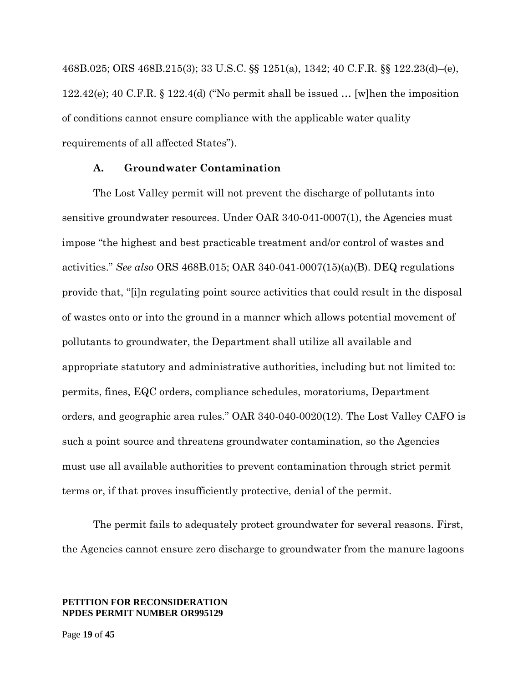468B.025; ORS 468B.215(3); 33 U.S.C. §§ 1251(a), 1342; 40 C.F.R. §§ 122.23(d)–(e), 122.42(e); 40 C.F.R. § 122.4(d) ("No permit shall be issued … [w]hen the imposition of conditions cannot ensure compliance with the applicable water quality requirements of all affected States").

### **A. Groundwater Contamination**

The Lost Valley permit will not prevent the discharge of pollutants into sensitive groundwater resources. Under OAR 340-041-0007(1), the Agencies must impose "the highest and best practicable treatment and/or control of wastes and activities." *See also* ORS 468B.015; OAR 340-041-0007(15)(a)(B). DEQ regulations provide that, "[i]n regulating point source activities that could result in the disposal of wastes onto or into the ground in a manner which allows potential movement of pollutants to groundwater, the Department shall utilize all available and appropriate statutory and administrative authorities, including but not limited to: permits, fines, EQC orders, compliance schedules, moratoriums, Department orders, and geographic area rules." OAR 340-040-0020(12). The Lost Valley CAFO is such a point source and threatens groundwater contamination, so the Agencies must use all available authorities to prevent contamination through strict permit terms or, if that proves insufficiently protective, denial of the permit.

The permit fails to adequately protect groundwater for several reasons. First, the Agencies cannot ensure zero discharge to groundwater from the manure lagoons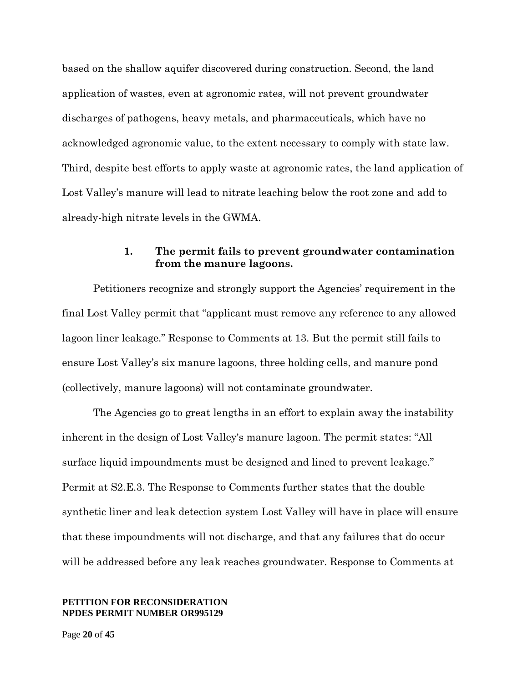based on the shallow aquifer discovered during construction. Second, the land application of wastes, even at agronomic rates, will not prevent groundwater discharges of pathogens, heavy metals, and pharmaceuticals, which have no acknowledged agronomic value, to the extent necessary to comply with state law. Third, despite best efforts to apply waste at agronomic rates, the land application of Lost Valley's manure will lead to nitrate leaching below the root zone and add to already-high nitrate levels in the GWMA.

## **1. The permit fails to prevent groundwater contamination from the manure lagoons.**

Petitioners recognize and strongly support the Agencies' requirement in the final Lost Valley permit that "applicant must remove any reference to any allowed lagoon liner leakage." Response to Comments at 13. But the permit still fails to ensure Lost Valley's six manure lagoons, three holding cells, and manure pond (collectively, manure lagoons) will not contaminate groundwater.

The Agencies go to great lengths in an effort to explain away the instability inherent in the design of Lost Valley's manure lagoon. The permit states: "All surface liquid impoundments must be designed and lined to prevent leakage." Permit at S2.E.3. The Response to Comments further states that the double synthetic liner and leak detection system Lost Valley will have in place will ensure that these impoundments will not discharge, and that any failures that do occur will be addressed before any leak reaches groundwater. Response to Comments at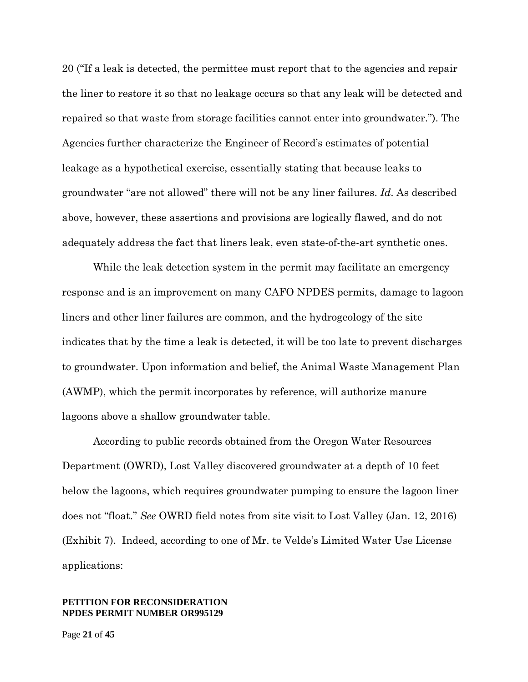20 ("If a leak is detected, the permittee must report that to the agencies and repair the liner to restore it so that no leakage occurs so that any leak will be detected and repaired so that waste from storage facilities cannot enter into groundwater."). The Agencies further characterize the Engineer of Record's estimates of potential leakage as a hypothetical exercise, essentially stating that because leaks to groundwater "are not allowed" there will not be any liner failures. *Id*. As described above, however, these assertions and provisions are logically flawed, and do not adequately address the fact that liners leak, even state-of-the-art synthetic ones.

While the leak detection system in the permit may facilitate an emergency response and is an improvement on many CAFO NPDES permits, damage to lagoon liners and other liner failures are common, and the hydrogeology of the site indicates that by the time a leak is detected, it will be too late to prevent discharges to groundwater. Upon information and belief, the Animal Waste Management Plan (AWMP), which the permit incorporates by reference, will authorize manure lagoons above a shallow groundwater table.

According to public records obtained from the Oregon Water Resources Department (OWRD), Lost Valley discovered groundwater at a depth of 10 feet below the lagoons, which requires groundwater pumping to ensure the lagoon liner does not "float." *See* OWRD field notes from site visit to Lost Valley (Jan. 12, 2016) (Exhibit 7). Indeed, according to one of Mr. te Velde's Limited Water Use License applications: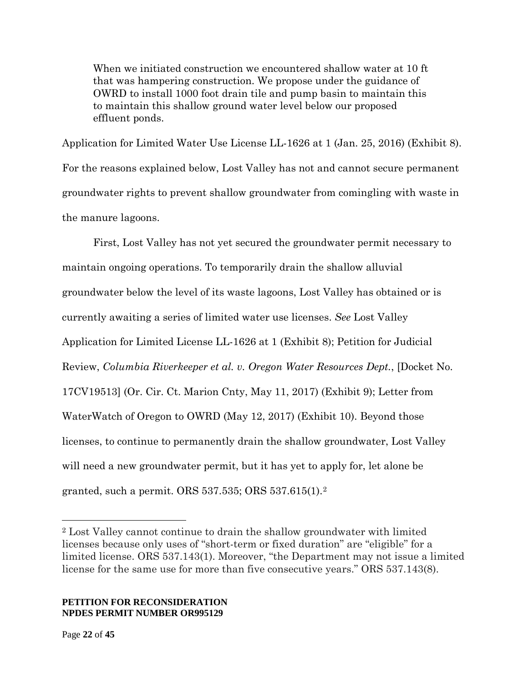When we initiated construction we encountered shallow water at 10 ft that was hampering construction. We propose under the guidance of OWRD to install 1000 foot drain tile and pump basin to maintain this to maintain this shallow ground water level below our proposed effluent ponds.

Application for Limited Water Use License LL-1626 at 1 (Jan. 25, 2016) (Exhibit 8). For the reasons explained below, Lost Valley has not and cannot secure permanent groundwater rights to prevent shallow groundwater from comingling with waste in the manure lagoons.

First, Lost Valley has not yet secured the groundwater permit necessary to maintain ongoing operations. To temporarily drain the shallow alluvial groundwater below the level of its waste lagoons, Lost Valley has obtained or is currently awaiting a series of limited water use licenses. *See* Lost Valley Application for Limited License LL-1626 at 1 (Exhibit 8); Petition for Judicial Review, *Columbia Riverkeeper et al. v. Oregon Water Resources Dept.*, [Docket No. 17CV19513] (Or. Cir. Ct. Marion Cnty, May 11, 2017) (Exhibit 9); Letter from WaterWatch of Oregon to OWRD (May 12, 2017) (Exhibit 10). Beyond those licenses, to continue to permanently drain the shallow groundwater, Lost Valley will need a new groundwater permit, but it has yet to apply for, let alone be granted, such a permit. ORS 537.535; ORS 537.615(1).[2](#page-21-0)

### **PETITION FOR RECONSIDERATION NPDES PERMIT NUMBER OR995129**

 $\overline{a}$ 

<span id="page-21-0"></span><sup>2</sup> Lost Valley cannot continue to drain the shallow groundwater with limited licenses because only uses of "short-term or fixed duration" are "eligible" for a limited license. ORS 537.143(1). Moreover, "the Department may not issue a limited license for the same use for more than five consecutive years." ORS 537.143(8).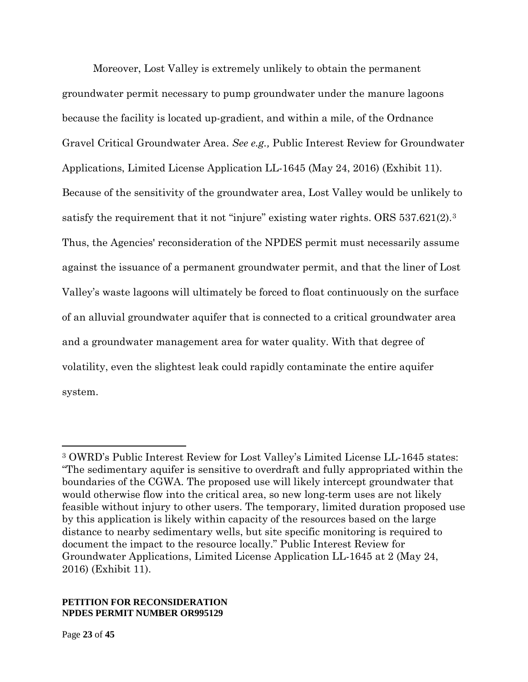Moreover, Lost Valley is extremely unlikely to obtain the permanent groundwater permit necessary to pump groundwater under the manure lagoons because the facility is located up-gradient, and within a mile, of the Ordnance Gravel Critical Groundwater Area. *See e.g.,* Public Interest Review for Groundwater Applications, Limited License Application LL-1645 (May 24, 2016) (Exhibit 11). Because of the sensitivity of the groundwater area, Lost Valley would be unlikely to satisfy the requirement that it not "injure" existing water rights. ORS 5[3](#page-22-0)7.621(2).<sup>3</sup> Thus, the Agencies' reconsideration of the NPDES permit must necessarily assume against the issuance of a permanent groundwater permit, and that the liner of Lost Valley's waste lagoons will ultimately be forced to float continuously on the surface of an alluvial groundwater aquifer that is connected to a critical groundwater area and a groundwater management area for water quality. With that degree of volatility, even the slightest leak could rapidly contaminate the entire aquifer system.

### **PETITION FOR RECONSIDERATION NPDES PERMIT NUMBER OR995129**

 $\overline{a}$ 

<span id="page-22-0"></span><sup>3</sup> OWRD's Public Interest Review for Lost Valley's Limited License LL-1645 states: "The sedimentary aquifer is sensitive to overdraft and fully appropriated within the boundaries of the CGWA. The proposed use will likely intercept groundwater that would otherwise flow into the critical area, so new long-term uses are not likely feasible without injury to other users. The temporary, limited duration proposed use by this application is likely within capacity of the resources based on the large distance to nearby sedimentary wells, but site specific monitoring is required to document the impact to the resource locally." Public Interest Review for Groundwater Applications, Limited License Application LL-1645 at 2 (May 24, 2016) (Exhibit 11).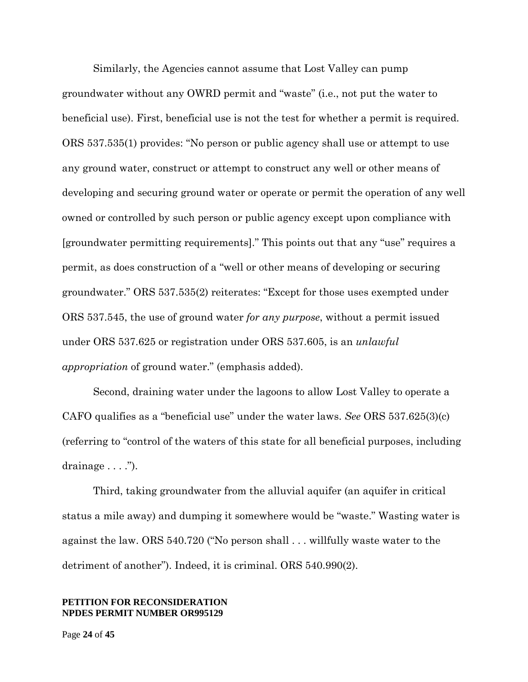Similarly, the Agencies cannot assume that Lost Valley can pump groundwater without any OWRD permit and "waste" (i.e., not put the water to beneficial use). First, beneficial use is not the test for whether a permit is required. ORS 537.535(1) provides: "No person or public agency shall use or attempt to use any ground water, construct or attempt to construct any well or other means of developing and securing ground water or operate or permit the operation of any well owned or controlled by such person or public agency except upon compliance with [groundwater permitting requirements]." This points out that any "use" requires a permit, as does construction of a "well or other means of developing or securing groundwater." ORS 537.535(2) reiterates: "Except for those uses exempted under ORS 537.545, the use of ground water *for any purpose*, without a permit issued under ORS 537.625 or registration under ORS 537.605, is an *unlawful appropriation* of ground water." (emphasis added).

Second, draining water under the lagoons to allow Lost Valley to operate a CAFO qualifies as a "beneficial use" under the water laws. *See* ORS 537.625(3)(c) (referring to "control of the waters of this state for all beneficial purposes, including drainage  $\dots$  .").

Third, taking groundwater from the alluvial aquifer (an aquifer in critical status a mile away) and dumping it somewhere would be "waste." Wasting water is against the law. ORS 540.720 ("No person shall . . . willfully waste water to the detriment of another"). Indeed, it is criminal. ORS 540.990(2).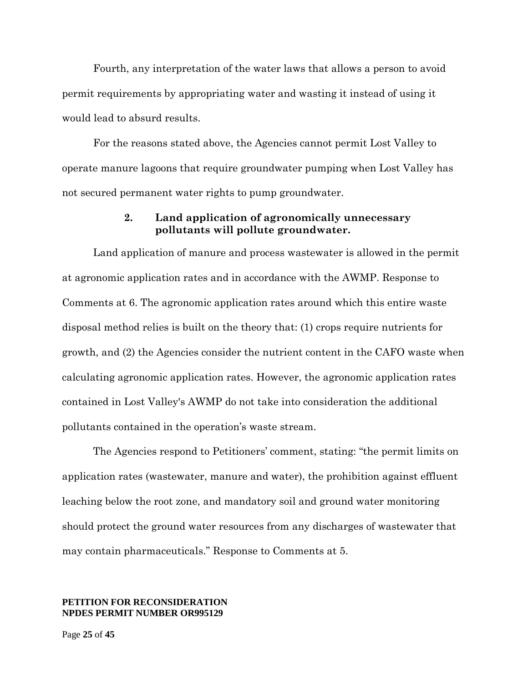Fourth, any interpretation of the water laws that allows a person to avoid permit requirements by appropriating water and wasting it instead of using it would lead to absurd results.

For the reasons stated above, the Agencies cannot permit Lost Valley to operate manure lagoons that require groundwater pumping when Lost Valley has not secured permanent water rights to pump groundwater.

### **2. Land application of agronomically unnecessary pollutants will pollute groundwater.**

Land application of manure and process wastewater is allowed in the permit at agronomic application rates and in accordance with the AWMP. Response to Comments at 6. The agronomic application rates around which this entire waste disposal method relies is built on the theory that: (1) crops require nutrients for growth, and (2) the Agencies consider the nutrient content in the CAFO waste when calculating agronomic application rates. However, the agronomic application rates contained in Lost Valley's AWMP do not take into consideration the additional pollutants contained in the operation's waste stream.

The Agencies respond to Petitioners' comment, stating: "the permit limits on application rates (wastewater, manure and water), the prohibition against effluent leaching below the root zone, and mandatory soil and ground water monitoring should protect the ground water resources from any discharges of wastewater that may contain pharmaceuticals." Response to Comments at 5.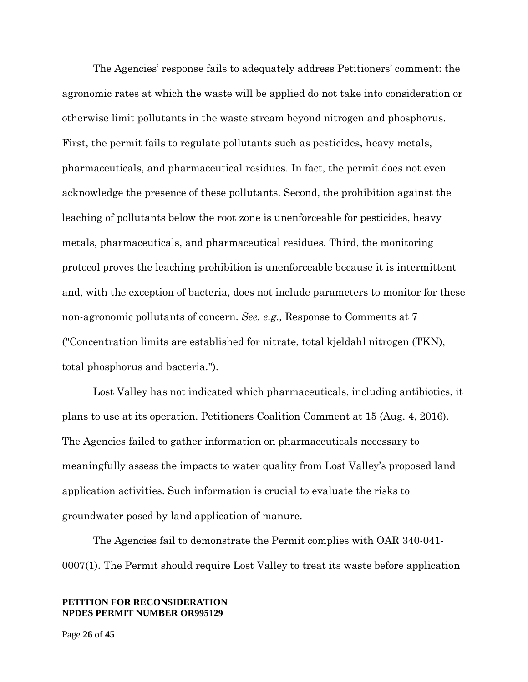The Agencies' response fails to adequately address Petitioners' comment: the agronomic rates at which the waste will be applied do not take into consideration or otherwise limit pollutants in the waste stream beyond nitrogen and phosphorus. First, the permit fails to regulate pollutants such as pesticides, heavy metals, pharmaceuticals, and pharmaceutical residues. In fact, the permit does not even acknowledge the presence of these pollutants. Second, the prohibition against the leaching of pollutants below the root zone is unenforceable for pesticides, heavy metals, pharmaceuticals, and pharmaceutical residues. Third, the monitoring protocol proves the leaching prohibition is unenforceable because it is intermittent and, with the exception of bacteria, does not include parameters to monitor for these non-agronomic pollutants of concern. *See, e.g.,* Response to Comments at 7 ("Concentration limits are established for nitrate, total kjeldahl nitrogen (TKN), total phosphorus and bacteria.").

Lost Valley has not indicated which pharmaceuticals, including antibiotics, it plans to use at its operation. Petitioners Coalition Comment at 15 (Aug. 4, 2016). The Agencies failed to gather information on pharmaceuticals necessary to meaningfully assess the impacts to water quality from Lost Valley's proposed land application activities. Such information is crucial to evaluate the risks to groundwater posed by land application of manure.

The Agencies fail to demonstrate the Permit complies with OAR 340-041- 0007(1). The Permit should require Lost Valley to treat its waste before application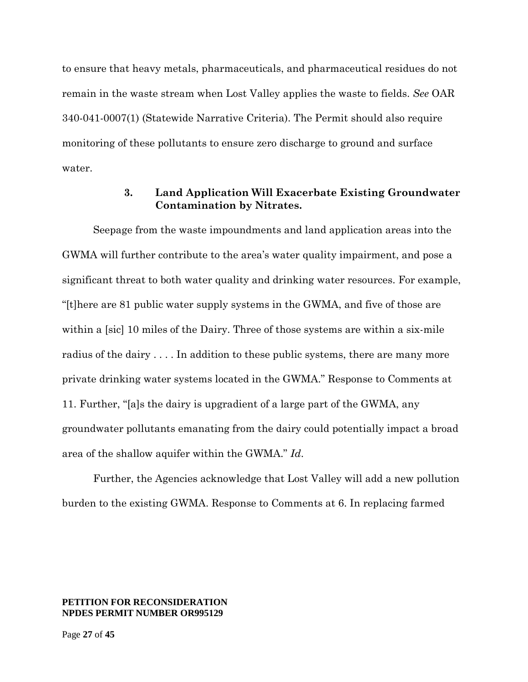to ensure that heavy metals, pharmaceuticals, and pharmaceutical residues do not remain in the waste stream when Lost Valley applies the waste to fields. *See* OAR 340-041-0007(1) (Statewide Narrative Criteria). The Permit should also require monitoring of these pollutants to ensure zero discharge to ground and surface water.

### **3. Land Application Will Exacerbate Existing Groundwater Contamination by Nitrates.**

Seepage from the waste impoundments and land application areas into the GWMA will further contribute to the area's water quality impairment, and pose a significant threat to both water quality and drinking water resources. For example, "[t]here are 81 public water supply systems in the GWMA, and five of those are within a [sic] 10 miles of the Dairy. Three of those systems are within a six-mile radius of the dairy . . . . In addition to these public systems, there are many more private drinking water systems located in the GWMA." Response to Comments at 11. Further, "[a]s the dairy is upgradient of a large part of the GWMA, any groundwater pollutants emanating from the dairy could potentially impact a broad area of the shallow aquifer within the GWMA." *Id*.

Further, the Agencies acknowledge that Lost Valley will add a new pollution burden to the existing GWMA. Response to Comments at 6. In replacing farmed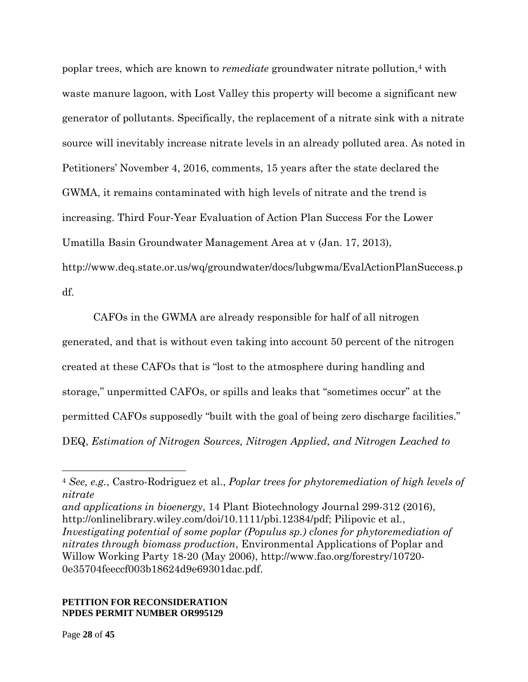poplar trees, which are known to *remediate* groundwater nitrate pollution,<sup>[4](#page-27-0)</sup> with waste manure lagoon, with Lost Valley this property will become a significant new generator of pollutants. Specifically, the replacement of a nitrate sink with a nitrate source will inevitably increase nitrate levels in an already polluted area. As noted in Petitioners' November 4, 2016, comments, 15 years after the state declared the GWMA, it remains contaminated with high levels of nitrate and the trend is increasing. Third Four-Year Evaluation of Action Plan Success For the Lower Umatilla Basin Groundwater Management Area at v (Jan. 17, 2013), http://www.deq.state.or.us/wq/groundwater/docs/lubgwma/EvalActionPlanSuccess.p df.

CAFOs in the GWMA are already responsible for half of all nitrogen generated, and that is without even taking into account 50 percent of the nitrogen created at these CAFOs that is "lost to the atmosphere during handling and storage," unpermitted CAFOs, or spills and leaks that "sometimes occur" at the permitted CAFOs supposedly "built with the goal of being zero discharge facilities." DEQ, *Estimation of Nitrogen Sources, Nitrogen Applied, and Nitrogen Leached to* 

### **PETITION FOR RECONSIDERATION NPDES PERMIT NUMBER OR995129**

 $\overline{a}$ 

<span id="page-27-0"></span><sup>4</sup> *See, e.g.*, Castro-Rodriguez et al., *Poplar trees for phytoremediation of high levels of nitrate* 

*and applications in bioenergy*, 14 Plant Biotechnology Journal 299-312 (2016), http://onlinelibrary.wiley.com/doi/10.1111/pbi.12384/pdf; Pilipovic et al., *Investigating potential of some poplar (Populus sp.) clones for phytoremediation of nitrates through biomass production*, Environmental Applications of Poplar and Willow Working Party 18-20 (May 2006), http://www.fao.org/forestry/10720- 0e35704feeccf003b18624d9e69301dac.pdf.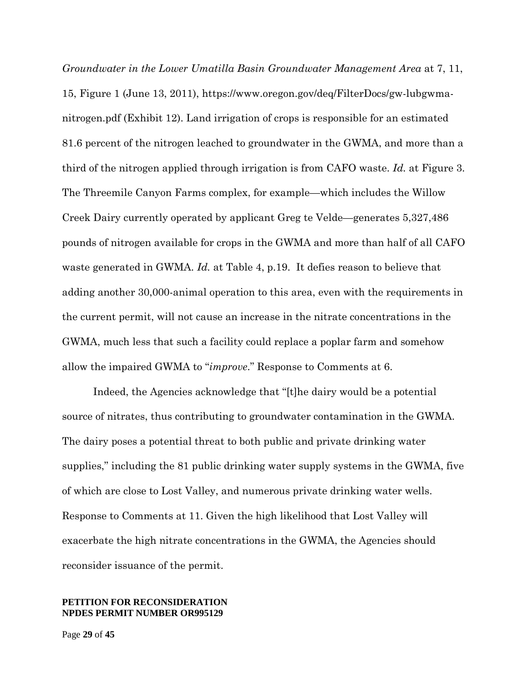*Groundwater in the Lower Umatilla Basin Groundwater Management Area* at 7, 11, 15, Figure 1 (June 13, 2011), https://www.oregon.gov/deq/FilterDocs/gw-lubgwmanitrogen.pdf (Exhibit 12). Land irrigation of crops is responsible for an estimated 81.6 percent of the nitrogen leached to groundwater in the GWMA, and more than a third of the nitrogen applied through irrigation is from CAFO waste. *Id.* at Figure 3. The Threemile Canyon Farms complex, for example—which includes the Willow Creek Dairy currently operated by applicant Greg te Velde—generates 5,327,486 pounds of nitrogen available for crops in the GWMA and more than half of all CAFO waste generated in GWMA. *Id.* at Table 4, p.19. It defies reason to believe that adding another 30,000-animal operation to this area, even with the requirements in the current permit, will not cause an increase in the nitrate concentrations in the GWMA, much less that such a facility could replace a poplar farm and somehow allow the impaired GWMA to "*improve*." Response to Comments at 6.

Indeed, the Agencies acknowledge that "[t]he dairy would be a potential source of nitrates, thus contributing to groundwater contamination in the GWMA. The dairy poses a potential threat to both public and private drinking water supplies," including the 81 public drinking water supply systems in the GWMA, five of which are close to Lost Valley, and numerous private drinking water wells. Response to Comments at 11. Given the high likelihood that Lost Valley will exacerbate the high nitrate concentrations in the GWMA, the Agencies should reconsider issuance of the permit.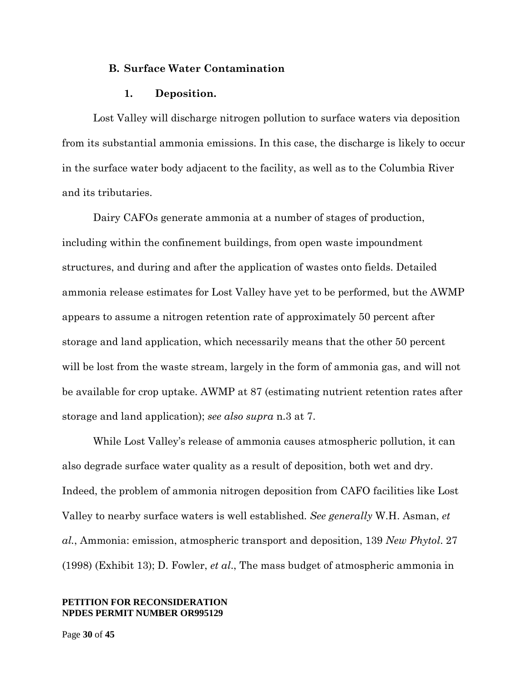### **B. Surface Water Contamination**

#### **1. Deposition.**

Lost Valley will discharge nitrogen pollution to surface waters via deposition from its substantial ammonia emissions. In this case, the discharge is likely to occur in the surface water body adjacent to the facility, as well as to the Columbia River and its tributaries.

Dairy CAFOs generate ammonia at a number of stages of production, including within the confinement buildings, from open waste impoundment structures, and during and after the application of wastes onto fields. Detailed ammonia release estimates for Lost Valley have yet to be performed, but the AWMP appears to assume a nitrogen retention rate of approximately 50 percent after storage and land application, which necessarily means that the other 50 percent will be lost from the waste stream, largely in the form of ammonia gas, and will not be available for crop uptake. AWMP at 87 (estimating nutrient retention rates after storage and land application); *see also supra* n.3 at 7.

While Lost Valley's release of ammonia causes atmospheric pollution, it can also degrade surface water quality as a result of deposition, both wet and dry. Indeed, the problem of ammonia nitrogen deposition from CAFO facilities like Lost Valley to nearby surface waters is well established. *See generally* W.H. Asman, *et al.*, Ammonia: emission, atmospheric transport and deposition, 139 *New Phytol*. 27 (1998) (Exhibit 13); D. Fowler, *et al*., The mass budget of atmospheric ammonia in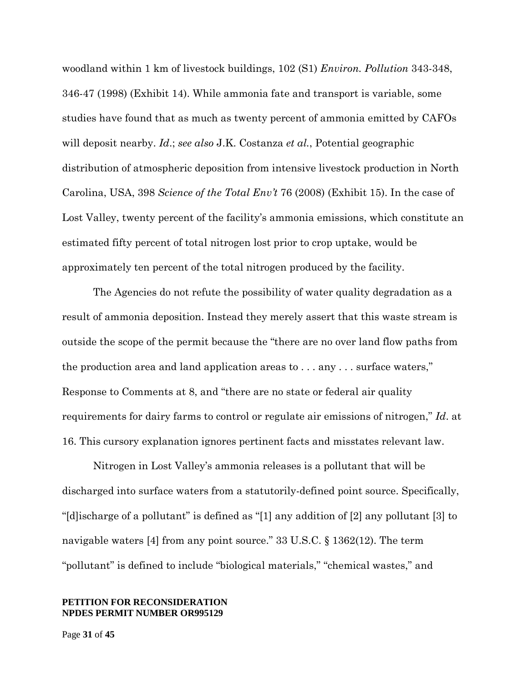woodland within 1 km of livestock buildings, 102 (S1) *Environ. Pollution* 343-348, 346-47 (1998) (Exhibit 14). While ammonia fate and transport is variable, some studies have found that as much as twenty percent of ammonia emitted by CAFOs will deposit nearby. *Id*.; *see also* J.K. Costanza *et al.*, Potential geographic distribution of atmospheric deposition from intensive livestock production in North Carolina, USA, 398 *Science of the Total Env't* 76 (2008) (Exhibit 15). In the case of Lost Valley, twenty percent of the facility's ammonia emissions, which constitute an estimated fifty percent of total nitrogen lost prior to crop uptake, would be approximately ten percent of the total nitrogen produced by the facility.

The Agencies do not refute the possibility of water quality degradation as a result of ammonia deposition. Instead they merely assert that this waste stream is outside the scope of the permit because the "there are no over land flow paths from the production area and land application areas to . . . any . . . surface waters," Response to Comments at 8, and "there are no state or federal air quality requirements for dairy farms to control or regulate air emissions of nitrogen," *Id*. at 16. This cursory explanation ignores pertinent facts and misstates relevant law.

Nitrogen in Lost Valley's ammonia releases is a pollutant that will be discharged into surface waters from a statutorily-defined point source. Specifically, "[d]ischarge of a pollutant" is defined as "[1] any addition of [2] any pollutant [3] to navigable waters [4] from any point source." 33 U.S.C. § 1362(12). The term "pollutant" is defined to include "biological materials," "chemical wastes," and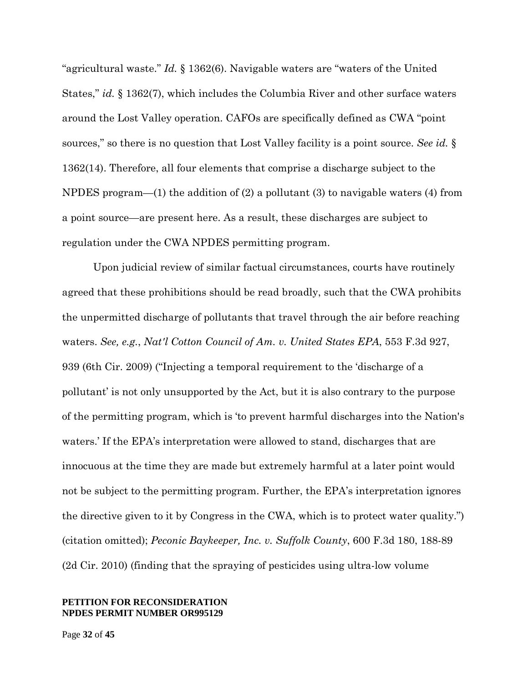"agricultural waste." *Id.* § 1362(6). Navigable waters are "waters of the United States," *id.* § 1362(7), which includes the Columbia River and other surface waters around the Lost Valley operation. CAFOs are specifically defined as CWA "point sources," so there is no question that Lost Valley facility is a point source. *See id.* § 1362(14). Therefore, all four elements that comprise a discharge subject to the NPDES program—(1) the addition of (2) a pollutant (3) to navigable waters (4) from a point source—are present here. As a result, these discharges are subject to regulation under the CWA NPDES permitting program.

Upon judicial review of similar factual circumstances, courts have routinely agreed that these prohibitions should be read broadly, such that the CWA prohibits the unpermitted discharge of pollutants that travel through the air before reaching waters. *See, e.g.*, *Nat'l Cotton Council of Am. v. United States EPA*, 553 F.3d 927, 939 (6th Cir. 2009) ("Injecting a temporal requirement to the 'discharge of a pollutant' is not only unsupported by the Act, but it is also contrary to the purpose of the permitting program, which is 'to prevent harmful discharges into the Nation's waters.' If the EPA's interpretation were allowed to stand, discharges that are innocuous at the time they are made but extremely harmful at a later point would not be subject to the permitting program. Further, the EPA's interpretation ignores the directive given to it by Congress in the CWA, which is to protect water quality.") (citation omitted); *Peconic Baykeeper, Inc. v. Suffolk County*, 600 F.3d 180, 188-89 (2d Cir. 2010) (finding that the spraying of pesticides using ultra-low volume

### **PETITION FOR RECONSIDERATION NPDES PERMIT NUMBER OR995129**

Page **32** of **45**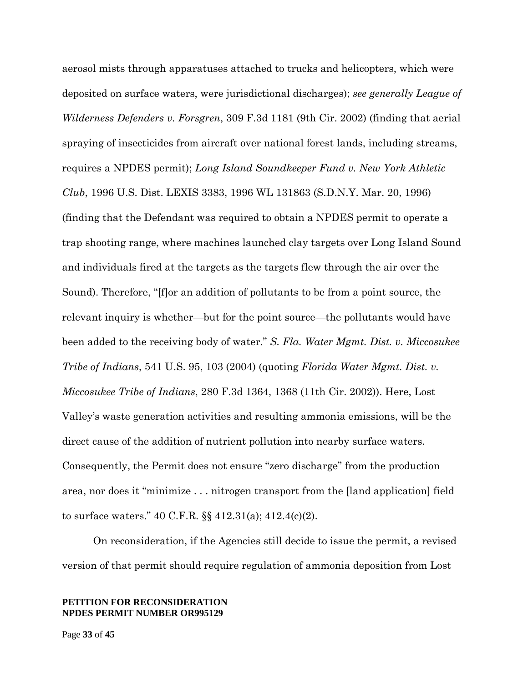aerosol mists through apparatuses attached to trucks and helicopters, which were deposited on surface waters, were jurisdictional discharges); *see generally League of Wilderness Defenders v. Forsgren*, 309 F.3d 1181 (9th Cir. 2002) (finding that aerial spraying of insecticides from aircraft over national forest lands, including streams, requires a NPDES permit); *Long Island Soundkeeper Fund v. New York Athletic Club*, 1996 U.S. Dist. LEXIS 3383, 1996 WL 131863 (S.D.N.Y. Mar. 20, 1996) (finding that the Defendant was required to obtain a NPDES permit to operate a trap shooting range, where machines launched clay targets over Long Island Sound and individuals fired at the targets as the targets flew through the air over the Sound). Therefore, "[f]or an addition of pollutants to be from a point source, the relevant inquiry is whether—but for the point source—the pollutants would have been added to the receiving body of water." *S. Fla. Water Mgmt. Dist. v. Miccosukee Tribe of Indians*, 541 U.S. 95, 103 (2004) (quoting *Florida Water Mgmt. Dist. v. Miccosukee Tribe of Indians*, 280 F.3d 1364, 1368 (11th Cir. 2002)). Here, Lost Valley's waste generation activities and resulting ammonia emissions, will be the direct cause of the addition of nutrient pollution into nearby surface waters. Consequently, the Permit does not ensure "zero discharge" from the production area, nor does it "minimize . . . nitrogen transport from the [land application] field to surface waters." 40 C.F.R. §§ 412.31(a); 412.4(c)(2).

On reconsideration, if the Agencies still decide to issue the permit, a revised version of that permit should require regulation of ammonia deposition from Lost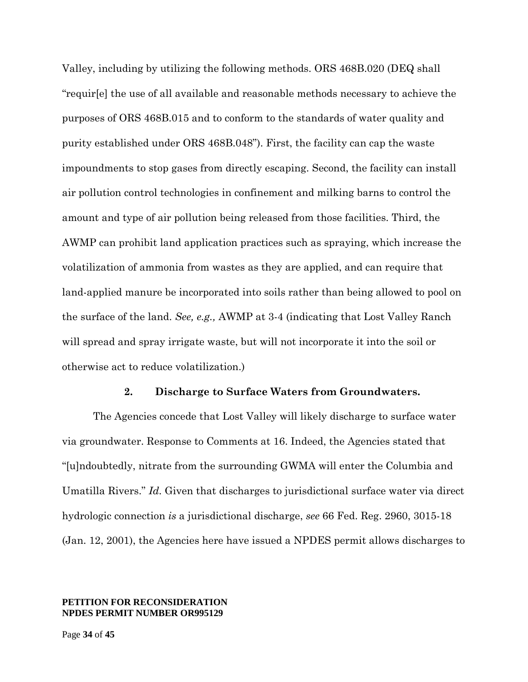Valley, including by utilizing the following methods. ORS 468B.020 (DEQ shall "requir[e] the use of all available and reasonable methods necessary to achieve the purposes of ORS 468B.015 and to conform to the standards of water quality and purity established under ORS 468B.048"). First, the facility can cap the waste impoundments to stop gases from directly escaping. Second, the facility can install air pollution control technologies in confinement and milking barns to control the amount and type of air pollution being released from those facilities. Third, the AWMP can prohibit land application practices such as spraying, which increase the volatilization of ammonia from wastes as they are applied, and can require that land-applied manure be incorporated into soils rather than being allowed to pool on the surface of the land. *See, e.g.,* AWMP at 3-4 (indicating that Lost Valley Ranch will spread and spray irrigate waste, but will not incorporate it into the soil or otherwise act to reduce volatilization.)

### **2. Discharge to Surface Waters from Groundwaters.**

The Agencies concede that Lost Valley will likely discharge to surface water via groundwater. Response to Comments at 16. Indeed, the Agencies stated that "[u]ndoubtedly, nitrate from the surrounding GWMA will enter the Columbia and Umatilla Rivers." *Id.* Given that discharges to jurisdictional surface water via direct hydrologic connection *is* a jurisdictional discharge, *see* 66 Fed. Reg. 2960, 3015-18 (Jan. 12, 2001), the Agencies here have issued a NPDES permit allows discharges to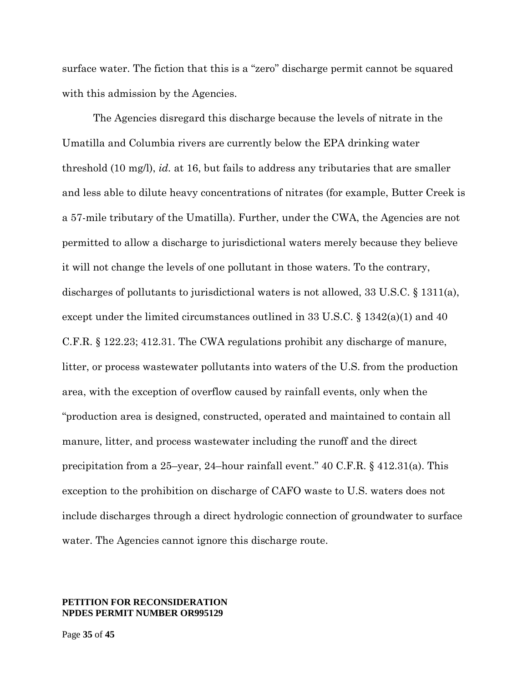surface water. The fiction that this is a "zero" discharge permit cannot be squared with this admission by the Agencies.

The Agencies disregard this discharge because the levels of nitrate in the Umatilla and Columbia rivers are currently below the EPA drinking water threshold (10 mg/l), *id.* at 16, but fails to address any tributaries that are smaller and less able to dilute heavy concentrations of nitrates (for example, Butter Creek is a 57-mile tributary of the Umatilla). Further, under the CWA, the Agencies are not permitted to allow a discharge to jurisdictional waters merely because they believe it will not change the levels of one pollutant in those waters. To the contrary, discharges of pollutants to jurisdictional waters is not allowed, 33 U.S.C. § 1311(a), except under the limited circumstances outlined in 33 U.S.C. § 1342(a)(1) and 40 C.F.R. § 122.23; 412.31. The CWA regulations prohibit any discharge of manure, litter, or process wastewater pollutants into waters of the U.S. from the production area, with the exception of overflow caused by rainfall events, only when the "production area is designed, constructed, operated and maintained to contain all manure, litter, and process wastewater including the runoff and the direct precipitation from a 25–year, 24–hour rainfall event." 40 C.F.R. § 412.31(a). This exception to the prohibition on discharge of CAFO waste to U.S. waters does not include discharges through a direct hydrologic connection of groundwater to surface water. The Agencies cannot ignore this discharge route.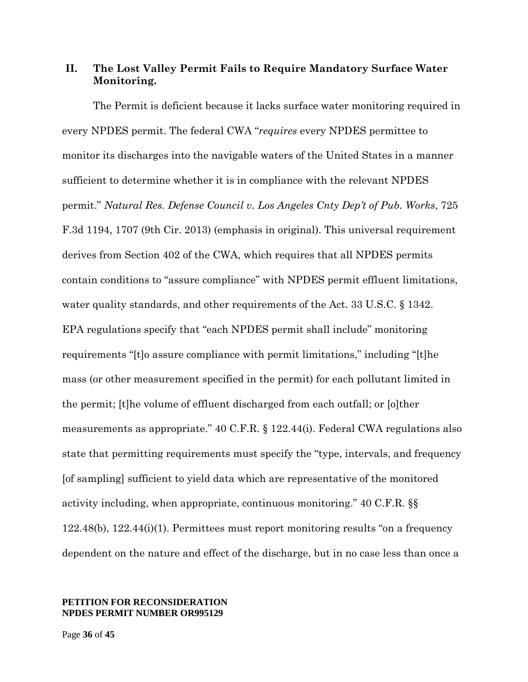## **II. The Lost Valley Permit Fails to Require Mandatory Surface Water Monitoring.**

The Permit is deficient because it lacks surface water monitoring required in every NPDES permit. The federal CWA "*requires* every NPDES permittee to monitor its discharges into the navigable waters of the United States in a manner sufficient to determine whether it is in compliance with the relevant NPDES permit." *Natural Res. Defense Council v. Los Angeles Cnty Dep't of Pub. Works*, 725 F.3d 1194, 1707 (9th Cir. 2013) (emphasis in original). This universal requirement derives from Section 402 of the CWA, which requires that all NPDES permits contain conditions to "assure compliance" with NPDES permit effluent limitations, water quality standards, and other requirements of the Act. 33 U.S.C. § 1342. EPA regulations specify that "each NPDES permit shall include" monitoring requirements "[t]o assure compliance with permit limitations," including "[t]he mass (or other measurement specified in the permit) for each pollutant limited in the permit; [t]he volume of effluent discharged from each outfall; or [o]ther measurements as appropriate." 40 C.F.R. § 122.44(i). Federal CWA regulations also state that permitting requirements must specify the "type, intervals, and frequency [of sampling] sufficient to yield data which are representative of the monitored activity including, when appropriate, continuous monitoring." 40 C.F.R. §§ 122.48(b), 122.44(i)(1). Permittees must report monitoring results "on a frequency dependent on the nature and effect of the discharge, but in no case less than once a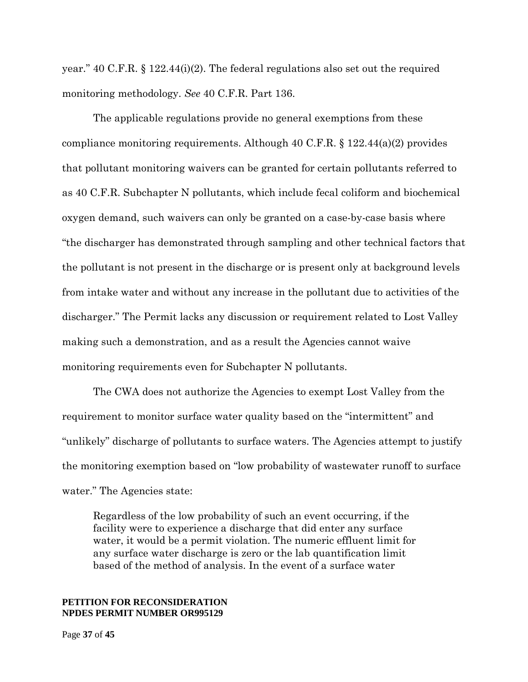year." 40 C.F.R. § 122.44(i)(2). The federal regulations also set out the required monitoring methodology. *See* 40 C.F.R. Part 136.

The applicable regulations provide no general exemptions from these compliance monitoring requirements. Although 40 C.F.R.  $\S 122.44(a)(2)$  provides that pollutant monitoring waivers can be granted for certain pollutants referred to as 40 C.F.R. Subchapter N pollutants, which include fecal coliform and biochemical oxygen demand, such waivers can only be granted on a case-by-case basis where "the discharger has demonstrated through sampling and other technical factors that the pollutant is not present in the discharge or is present only at background levels from intake water and without any increase in the pollutant due to activities of the discharger." The Permit lacks any discussion or requirement related to Lost Valley making such a demonstration, and as a result the Agencies cannot waive monitoring requirements even for Subchapter N pollutants.

The CWA does not authorize the Agencies to exempt Lost Valley from the requirement to monitor surface water quality based on the "intermittent" and "unlikely" discharge of pollutants to surface waters. The Agencies attempt to justify the monitoring exemption based on "low probability of wastewater runoff to surface water." The Agencies state:

Regardless of the low probability of such an event occurring, if the facility were to experience a discharge that did enter any surface water, it would be a permit violation. The numeric effluent limit for any surface water discharge is zero or the lab quantification limit based of the method of analysis. In the event of a surface water

### **PETITION FOR RECONSIDERATION NPDES PERMIT NUMBER OR995129**

Page **37** of **45**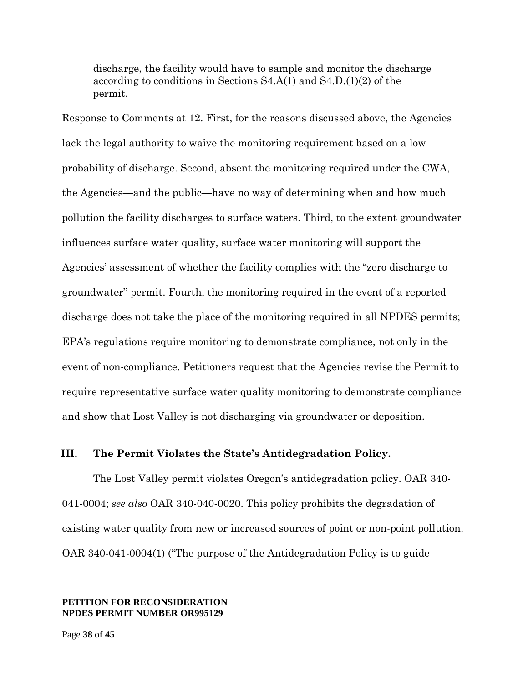discharge, the facility would have to sample and monitor the discharge according to conditions in Sections S4.A(1) and S4.D.(1)(2) of the permit.

Response to Comments at 12. First, for the reasons discussed above, the Agencies lack the legal authority to waive the monitoring requirement based on a low probability of discharge. Second, absent the monitoring required under the CWA, the Agencies—and the public—have no way of determining when and how much pollution the facility discharges to surface waters. Third, to the extent groundwater influences surface water quality, surface water monitoring will support the Agencies' assessment of whether the facility complies with the "zero discharge to groundwater" permit. Fourth, the monitoring required in the event of a reported discharge does not take the place of the monitoring required in all NPDES permits; EPA's regulations require monitoring to demonstrate compliance, not only in the event of non-compliance. Petitioners request that the Agencies revise the Permit to require representative surface water quality monitoring to demonstrate compliance and show that Lost Valley is not discharging via groundwater or deposition.

### **III. The Permit Violates the State's Antidegradation Policy.**

The Lost Valley permit violates Oregon's antidegradation policy. OAR 340- 041-0004; *see also* OAR 340-040-0020. This policy prohibits the degradation of existing water quality from new or increased sources of point or non-point pollution. OAR 340-041-0004(1) ("The purpose of the Antidegradation Policy is to guide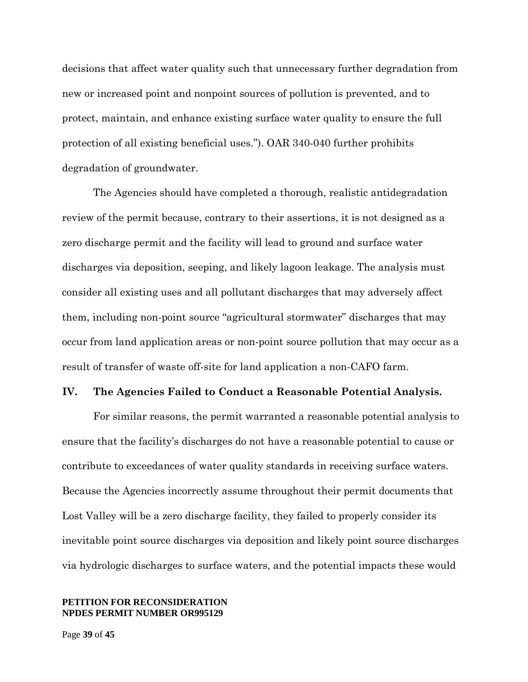decisions that affect water quality such that unnecessary further degradation from new or increased point and nonpoint sources of pollution is prevented, and to protect, maintain, and enhance existing surface water quality to ensure the full protection of all existing beneficial uses."). OAR 340-040 further prohibits degradation of groundwater.

The Agencies should have completed a thorough, realistic antidegradation review of the permit because, contrary to their assertions, it is not designed as a zero discharge permit and the facility will lead to ground and surface water discharges via deposition, seeping, and likely lagoon leakage. The analysis must consider all existing uses and all pollutant discharges that may adversely affect them, including non-point source "agricultural stormwater" discharges that may occur from land application areas or non-point source pollution that may occur as a result of transfer of waste off-site for land application a non-CAFO farm.

### **IV. The Agencies Failed to Conduct a Reasonable Potential Analysis.**

For similar reasons, the permit warranted a reasonable potential analysis to ensure that the facility's discharges do not have a reasonable potential to cause or contribute to exceedances of water quality standards in receiving surface waters. Because the Agencies incorrectly assume throughout their permit documents that Lost Valley will be a zero discharge facility, they failed to properly consider its inevitable point source discharges via deposition and likely point source discharges via hydrologic discharges to surface waters, and the potential impacts these would

### **PETITION FOR RECONSIDERATION NPDES PERMIT NUMBER OR995129**

Page **39** of **45**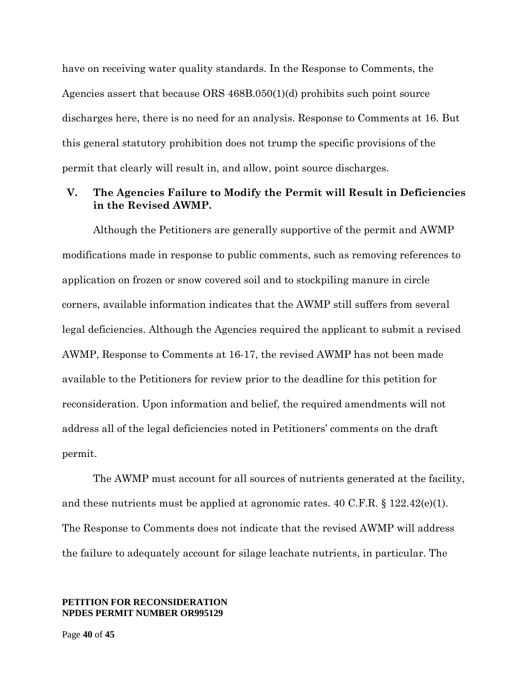have on receiving water quality standards. In the Response to Comments, the Agencies assert that because ORS 468B.050(1)(d) prohibits such point source discharges here, there is no need for an analysis. Response to Comments at 16. But this general statutory prohibition does not trump the specific provisions of the permit that clearly will result in, and allow, point source discharges.

## **V. The Agencies Failure to Modify the Permit will Result in Deficiencies in the Revised AWMP.**

Although the Petitioners are generally supportive of the permit and AWMP modifications made in response to public comments, such as removing references to application on frozen or snow covered soil and to stockpiling manure in circle corners, available information indicates that the AWMP still suffers from several legal deficiencies. Although the Agencies required the applicant to submit a revised AWMP, Response to Comments at 16-17, the revised AWMP has not been made available to the Petitioners for review prior to the deadline for this petition for reconsideration. Upon information and belief, the required amendments will not address all of the legal deficiencies noted in Petitioners' comments on the draft permit.

The AWMP must account for all sources of nutrients generated at the facility, and these nutrients must be applied at agronomic rates.  $40 \text{ C.F.R.}$  §  $122.42\text{(e)}(1)$ . The Response to Comments does not indicate that the revised AWMP will address the failure to adequately account for silage leachate nutrients, in particular. The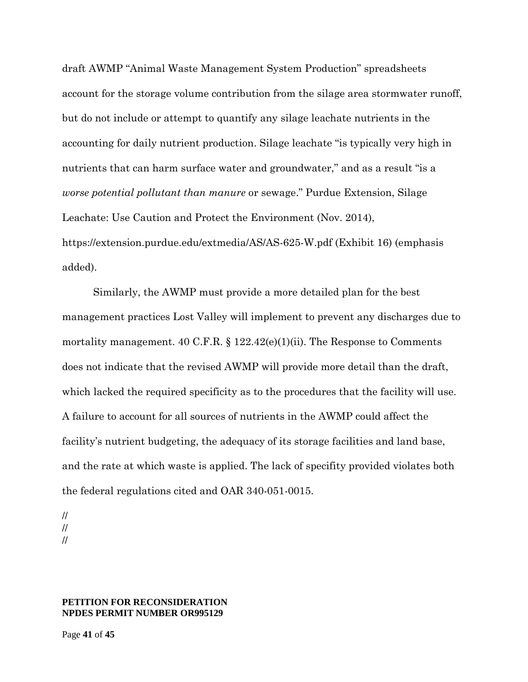draft AWMP "Animal Waste Management System Production" spreadsheets account for the storage volume contribution from the silage area stormwater runoff, but do not include or attempt to quantify any silage leachate nutrients in the accounting for daily nutrient production. Silage leachate "is typically very high in nutrients that can harm surface water and groundwater," and as a result "is a *worse potential pollutant than manure* or sewage." Purdue Extension, Silage Leachate: Use Caution and Protect the Environment (Nov. 2014), https://extension.purdue.edu/extmedia/AS/AS-625-W.pdf (Exhibit 16) (emphasis added).

Similarly, the AWMP must provide a more detailed plan for the best management practices Lost Valley will implement to prevent any discharges due to mortality management. 40 C.F.R.  $\S 122.42(e)(1)(ii)$ . The Response to Comments does not indicate that the revised AWMP will provide more detail than the draft, which lacked the required specificity as to the procedures that the facility will use. A failure to account for all sources of nutrients in the AWMP could affect the facility's nutrient budgeting, the adequacy of its storage facilities and land base, and the rate at which waste is applied. The lack of specifity provided violates both the federal regulations cited and OAR 340-051-0015.

// // //

### **PETITION FOR RECONSIDERATION NPDES PERMIT NUMBER OR995129**

Page **41** of **45**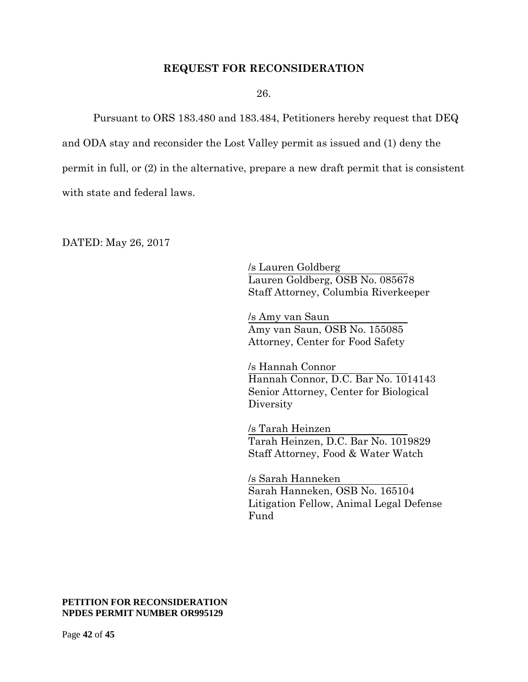### **REQUEST FOR RECONSIDERATION**

26.

Pursuant to ORS 183.480 and 183.484, Petitioners hereby request that DEQ and ODA stay and reconsider the Lost Valley permit as issued and (1) deny the permit in full, or (2) in the alternative, prepare a new draft permit that is consistent with state and federal laws.

DATED: May 26, 2017

/s Lauren Goldberg Lauren Goldberg, OSB No. 085678 Staff Attorney, Columbia Riverkeeper

/s Amy van Saun Amy van Saun, OSB No. 155085 Attorney, Center for Food Safety

/s Hannah Connor Hannah Connor, D.C. Bar No. 1014143 Senior Attorney, Center for Biological **Diversity** 

/s Tarah Heinzen Tarah Heinzen, D.C. Bar No. 1019829 Staff Attorney, Food & Water Watch

/s Sarah Hanneken Sarah Hanneken, OSB No. 165104 Litigation Fellow, Animal Legal Defense Fund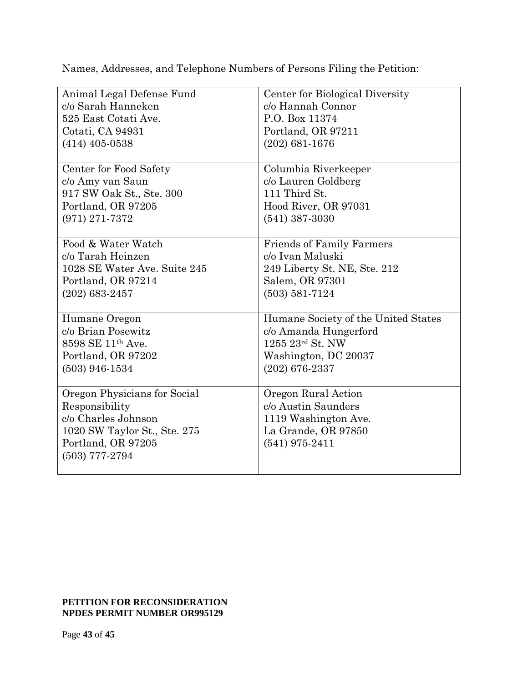Names, Addresses, and Telephone Numbers of Persons Filing the Petition:

| Animal Legal Defense Fund                                                                                                                       | Center for Biological Diversity                                                                               |
|-------------------------------------------------------------------------------------------------------------------------------------------------|---------------------------------------------------------------------------------------------------------------|
| c/o Sarah Hanneken                                                                                                                              | c/o Hannah Connor                                                                                             |
| 525 East Cotati Ave.                                                                                                                            | P.O. Box 11374                                                                                                |
| Cotati, CA 94931                                                                                                                                | Portland, OR 97211                                                                                            |
| $(414)$ 405-0538                                                                                                                                | $(202) 681 - 1676$                                                                                            |
| Center for Food Safety                                                                                                                          | Columbia Riverkeeper                                                                                          |
| c/o Amy van Saun                                                                                                                                | c/o Lauren Goldberg                                                                                           |
| 917 SW Oak St., Ste. 300                                                                                                                        | 111 Third St.                                                                                                 |
| Portland, OR 97205                                                                                                                              | Hood River, OR 97031                                                                                          |
| $(971)$ 271-7372                                                                                                                                | $(541)$ 387-3030                                                                                              |
| Food & Water Watch                                                                                                                              | <b>Friends of Family Farmers</b>                                                                              |
| c/o Tarah Heinzen                                                                                                                               | c/o Ivan Maluski                                                                                              |
| 1028 SE Water Ave. Suite 245                                                                                                                    | 249 Liberty St. NE, Ste. 212                                                                                  |
| Portland, OR 97214                                                                                                                              | Salem, OR 97301                                                                                               |
| $(202) 683 - 2457$                                                                                                                              | $(503) 581 - 7124$                                                                                            |
| Humane Oregon                                                                                                                                   | Humane Society of the United States                                                                           |
| c/o Brian Posewitz                                                                                                                              | c/o Amanda Hungerford                                                                                         |
| 8598 SE 11th Ave.                                                                                                                               | 1255 23rd St. NW                                                                                              |
| Portland, OR 97202                                                                                                                              | Washington, DC 20037                                                                                          |
| $(503)$ 946-1534                                                                                                                                | $(202)$ 676-2337                                                                                              |
| Oregon Physicians for Social<br>Responsibility<br>c/o Charles Johnson<br>1020 SW Taylor St., Ste. 275<br>Portland, OR 97205<br>$(503)$ 777-2794 | Oregon Rural Action<br>c/o Austin Saunders<br>1119 Washington Ave.<br>La Grande, OR 97850<br>$(541)$ 975-2411 |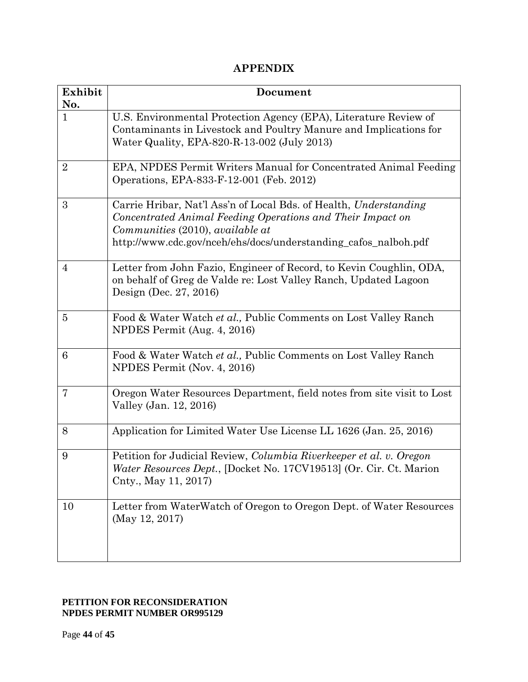# **APPENDIX**

| Exhibit<br>No. | Document                                                                                                                                                                                                                               |
|----------------|----------------------------------------------------------------------------------------------------------------------------------------------------------------------------------------------------------------------------------------|
| $\mathbf{1}$   | U.S. Environmental Protection Agency (EPA), Literature Review of<br>Contaminants in Livestock and Poultry Manure and Implications for<br>Water Quality, EPA-820-R-13-002 (July 2013)                                                   |
| $\overline{2}$ | EPA, NPDES Permit Writers Manual for Concentrated Animal Feeding<br>Operations, EPA-833-F-12-001 (Feb. 2012)                                                                                                                           |
| 3              | Carrie Hribar, Nat'l Ass'n of Local Bds. of Health, Understanding<br>Concentrated Animal Feeding Operations and Their Impact on<br>Communities (2010), available at<br>http://www.cdc.gov/nceh/ehs/docs/understanding_cafos_nalboh.pdf |
| $\overline{4}$ | Letter from John Fazio, Engineer of Record, to Kevin Coughlin, ODA,<br>on behalf of Greg de Valde re: Lost Valley Ranch, Updated Lagoon<br>Design (Dec. 27, 2016)                                                                      |
| $\overline{5}$ | Food & Water Watch et al., Public Comments on Lost Valley Ranch<br>NPDES Permit (Aug. 4, 2016)                                                                                                                                         |
| 6              | Food & Water Watch et al., Public Comments on Lost Valley Ranch<br>NPDES Permit (Nov. 4, 2016)                                                                                                                                         |
| 7              | Oregon Water Resources Department, field notes from site visit to Lost<br>Valley (Jan. 12, 2016)                                                                                                                                       |
| 8              | Application for Limited Water Use License LL 1626 (Jan. 25, 2016)                                                                                                                                                                      |
| 9              | Petition for Judicial Review, Columbia Riverkeeper et al. v. Oregon<br>Water Resources Dept., [Docket No. 17CV19513] (Or. Cir. Ct. Marion<br>Cnty., May 11, 2017)                                                                      |
| 10             | Letter from WaterWatch of Oregon to Oregon Dept. of Water Resources<br>(May 12, 2017)                                                                                                                                                  |